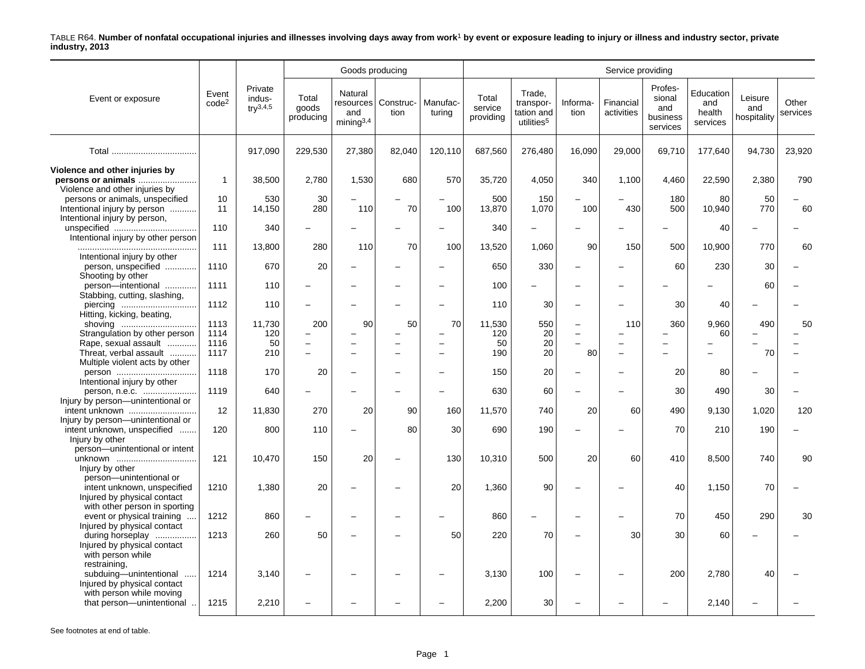|                                                                                                     |                            |                                    |                             | Goods producing                   |                               |                    |                               |                                                             |                          | Service providing                    |                                                  |                                        |                               |                   |
|-----------------------------------------------------------------------------------------------------|----------------------------|------------------------------------|-----------------------------|-----------------------------------|-------------------------------|--------------------|-------------------------------|-------------------------------------------------------------|--------------------------|--------------------------------------|--------------------------------------------------|----------------------------------------|-------------------------------|-------------------|
| Event or exposure                                                                                   | Event<br>code <sup>2</sup> | Private<br>indus-<br>$try^{3,4,5}$ | Total<br>goods<br>producing | Natural<br>and<br>$min$ ing $3,4$ | resources   Construc-<br>tion | Manufac-<br>turing | Total<br>service<br>providing | Trade,<br>transpor-<br>tation and<br>utilities <sup>5</sup> | Informa-<br>tion         | Financial<br>activities              | Profes-<br>sional<br>and<br>business<br>services | Education<br>and<br>health<br>services | Leisure<br>and<br>hospitality | Other<br>services |
|                                                                                                     |                            | 917,090                            | 229,530                     | 27,380                            | 82,040                        | 120,110            | 687,560                       | 276,480                                                     | 16,090                   | 29,000                               | 69,710                                           | 177,640                                | 94,730                        | 23,920            |
| Violence and other injuries by<br>persons or animals<br>Violence and other injuries by              | $\overline{1}$             | 38,500                             | 2,780                       | 1,530                             | 680                           | 570                | 35,720                        | 4,050                                                       | 340                      | 1,100                                | 4,460                                            | 22,590                                 | 2,380                         | 790               |
| persons or animals, unspecified<br>Intentional injury by person<br>Intentional injury by person,    | 10<br>11                   | 530<br>14,150                      | 30<br>280                   | 110                               | 70                            | 100                | 500<br>13,870                 | 150<br>1,070                                                | 100                      | 430                                  | 180<br>500                                       | 80<br>10,940                           | 50<br>770                     | 60                |
| Intentional injury by other person                                                                  | 110                        | 340                                | $\overline{\phantom{0}}$    |                                   |                               |                    | 340                           | $\equiv$                                                    |                          |                                      |                                                  | 40                                     |                               |                   |
| Intentional injury by other                                                                         | 111                        | 13,800                             | 280                         | 110                               | 70                            | 100                | 13,520                        | 1,060                                                       | 90                       | 150                                  | 500                                              | 10,900                                 | 770                           | 60                |
| person, unspecified<br>Shooting by other                                                            | 1110                       | 670                                | 20                          |                                   |                               |                    | 650                           | 330                                                         |                          |                                      | 60                                               | 230                                    | 30                            |                   |
| person-intentional<br>Stabbing, cutting, slashing,                                                  | 1111                       | 110                                |                             |                                   |                               | -                  | 100                           | $\overline{\phantom{0}}$                                    |                          |                                      |                                                  |                                        | 60                            |                   |
| Hitting, kicking, beating,                                                                          | 1112                       | 110                                |                             |                                   |                               |                    | 110                           | 30                                                          | $\sim$                   |                                      | 30                                               | 40                                     |                               |                   |
| shoving<br>Strangulation by other person                                                            | 1113<br>1114               | 11,730<br>120                      | 200                         | 90                                | 50                            | 70                 | 11,530<br>120                 | 550<br>20                                                   | $\equiv$                 | 110                                  | 360                                              | 9,960<br>60                            | 490                           | 50                |
| Rape, sexual assault<br>Threat, verbal assault<br>Multiple violent acts by other                    | 1116<br>1117               | 50<br>210                          |                             |                                   | ÷,                            | ÷                  | 50<br>190                     | 20<br>20                                                    | 80                       | $\equiv$<br>$\overline{\phantom{0}}$ |                                                  |                                        | 70                            |                   |
| person<br>Intentional injury by other                                                               | 1118                       | 170                                | 20                          |                                   |                               |                    | 150                           | 20                                                          |                          |                                      | 20                                               | 80                                     |                               |                   |
| person, n.e.c.<br>Injury by person-unintentional or                                                 | 1119                       | 640                                | $\equiv$                    |                                   |                               | $\overline{a}$     | 630                           | 60                                                          | $\overline{\phantom{0}}$ |                                      | 30                                               | 490                                    | 30                            |                   |
| intent unknown<br>Injury by person-unintentional or                                                 | 12                         | 11,830                             | 270                         | 20                                | 90                            | 160                | 11,570                        | 740                                                         | 20                       | 60                                   | 490                                              | 9.130                                  | 1,020                         | 120               |
| intent unknown, unspecified<br>Injury by other                                                      | 120                        | 800                                | 110                         |                                   | 80                            | 30                 | 690                           | 190                                                         |                          |                                      | 70                                               | 210                                    | 190                           |                   |
| person-unintentional or intent<br>unknown<br>Injury by other                                        | 121                        | 10,470                             | 150                         | 20                                |                               | 130                | 10,310                        | 500                                                         | 20                       | 60                                   | 410                                              | 8,500                                  | 740                           | 90                |
| person-unintentional or<br>intent unknown, unspecified<br>Injured by physical contact               | 1210                       | 1,380                              | 20                          |                                   |                               | 20                 | 1,360                         | 90                                                          |                          |                                      | 40                                               | 1,150                                  | 70                            |                   |
| with other person in sporting<br>event or physical training                                         | 1212                       | 860                                |                             |                                   |                               |                    | 860                           | $\overline{\phantom{0}}$                                    |                          |                                      | 70                                               | 450                                    | 290                           | 30                |
| Injured by physical contact<br>during horseplay<br>Injured by physical contact<br>with person while | 1213                       | 260                                | 50                          |                                   |                               | 50                 | 220                           | 70                                                          |                          | 30                                   | 30                                               | 60                                     |                               |                   |
| restraining,<br>subduing-unintentional<br>Injured by physical contact                               | 1214                       | 3,140                              |                             |                                   |                               |                    | 3,130                         | 100                                                         |                          |                                      | 200                                              | 2,780                                  | 40                            |                   |
| with person while moving<br>that person-unintentional                                               | 1215                       | 2,210                              |                             |                                   |                               |                    | 2,200                         | 30                                                          |                          |                                      |                                                  | 2,140                                  |                               |                   |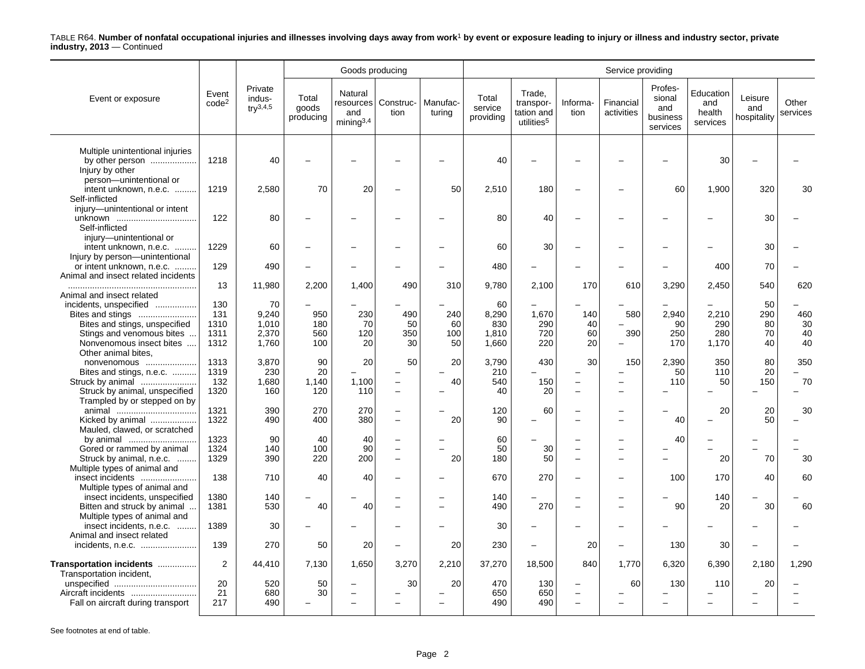|                                                      |                            |                                               |                             | Goods producing                         |                                                      |                    |                               |                                                             |                                                      | Service providing        |                                                  |                                        |                               |                   |
|------------------------------------------------------|----------------------------|-----------------------------------------------|-----------------------------|-----------------------------------------|------------------------------------------------------|--------------------|-------------------------------|-------------------------------------------------------------|------------------------------------------------------|--------------------------|--------------------------------------------------|----------------------------------------|-------------------------------|-------------------|
| Event or exposure                                    | Event<br>code <sup>2</sup> | Private<br>indus-<br>$\text{tr} \sqrt{3,4,5}$ | Total<br>goods<br>producing | Natural<br>and<br>mining <sup>3,4</sup> | resources   Construc-<br>tion                        | Manufac-<br>turing | Total<br>service<br>providing | Trade,<br>transpor-<br>tation and<br>utilities <sup>5</sup> | Informa-<br>tion                                     | Financial<br>activities  | Profes-<br>sional<br>and<br>business<br>services | Education<br>and<br>health<br>services | Leisure<br>and<br>hospitality | Other<br>services |
|                                                      |                            |                                               |                             |                                         |                                                      |                    |                               |                                                             |                                                      |                          |                                                  |                                        |                               |                   |
| Multiple unintentional injuries                      |                            |                                               |                             |                                         |                                                      |                    |                               |                                                             |                                                      |                          |                                                  |                                        |                               |                   |
| by other person<br>Injury by other                   | 1218                       | 40                                            |                             |                                         |                                                      |                    | 40                            |                                                             |                                                      |                          |                                                  | 30                                     |                               |                   |
| person-unintentional or                              |                            |                                               |                             |                                         |                                                      |                    |                               |                                                             |                                                      |                          |                                                  |                                        |                               |                   |
| intent unknown, n.e.c.                               | 1219                       | 2,580                                         | 70                          | 20                                      | $\overline{\phantom{0}}$                             | 50                 | 2,510                         | 180                                                         |                                                      |                          | 60                                               | 1,900                                  | 320                           | 30                |
| Self-inflicted                                       |                            |                                               |                             |                                         |                                                      |                    |                               |                                                             |                                                      |                          |                                                  |                                        |                               |                   |
| injury-unintentional or intent                       |                            |                                               |                             |                                         |                                                      |                    |                               |                                                             |                                                      |                          |                                                  |                                        |                               |                   |
| unknown                                              | 122                        | 80                                            |                             |                                         |                                                      |                    | 80                            | 40                                                          | $\overline{\phantom{0}}$                             |                          |                                                  |                                        | 30                            |                   |
| Self-inflicted                                       |                            |                                               |                             |                                         |                                                      |                    |                               |                                                             |                                                      |                          |                                                  |                                        |                               |                   |
| injury-unintentional or                              |                            |                                               |                             |                                         |                                                      |                    |                               |                                                             |                                                      |                          |                                                  |                                        |                               |                   |
| intent unknown, n.e.c.                               | 1229                       | 60                                            |                             |                                         |                                                      |                    | 60                            | 30                                                          |                                                      |                          |                                                  | $\overline{\phantom{a}}$               | 30                            |                   |
| Injury by person-unintentional                       |                            |                                               |                             |                                         |                                                      |                    |                               |                                                             |                                                      |                          |                                                  |                                        |                               |                   |
| or intent unknown, n.e.c.                            | 129                        | 490                                           |                             |                                         |                                                      |                    | 480                           |                                                             |                                                      |                          |                                                  | 400                                    | 70                            |                   |
| Animal and insect related incidents                  | 13                         | 11,980                                        | 2,200                       | 1,400                                   | 490                                                  | 310                | 9,780                         | 2,100                                                       | 170                                                  | 610                      | 3,290                                            | 2,450                                  | 540                           | 620               |
| Animal and insect related                            |                            |                                               |                             |                                         |                                                      |                    |                               |                                                             |                                                      |                          |                                                  |                                        |                               |                   |
| incidents, unspecified                               | 130                        | 70                                            |                             |                                         |                                                      |                    | 60                            |                                                             |                                                      |                          |                                                  |                                        | 50                            |                   |
| Bites and stings                                     | 131                        | 9,240                                         | 950                         | 230                                     | 490                                                  | 240                | 8,290                         | 1,670                                                       | 140                                                  | 580                      | 2,940                                            | 2,210                                  | 290                           | 460               |
| Bites and stings, unspecified                        | 1310                       | 1,010                                         | 180                         | 70                                      | 50                                                   | 60                 | 830                           | 290                                                         | 40                                                   |                          | 90                                               | 290                                    | 80                            | 30                |
| Stings and venomous bites                            | 1311                       | 2,370                                         | 560                         | 120                                     | 350                                                  | 100                | 1,810                         | 720                                                         | 60                                                   | 390                      | 250                                              | 280                                    | 70                            | 40                |
| Nonvenomous insect bites                             | 1312                       | 1,760                                         | 100                         | 20                                      | 30                                                   | 50                 | 1,660                         | 220                                                         | 20                                                   |                          | 170                                              | 1,170                                  | 40                            | 40                |
| Other animal bites,                                  |                            |                                               |                             |                                         |                                                      |                    |                               |                                                             |                                                      |                          |                                                  |                                        |                               |                   |
| nonvenomous                                          | 1313                       | 3,870                                         | 90                          | 20                                      | 50                                                   | 20                 | 3,790                         | 430                                                         | 30                                                   | 150                      | 2,390                                            | 350                                    | 80                            | 350               |
| Bites and stings, n.e.c.                             | 1319                       | 230                                           | 20                          |                                         |                                                      |                    | 210                           |                                                             |                                                      |                          | 50                                               | 110                                    | 20                            |                   |
| Struck by animal                                     | 132                        | 1,680                                         | 1,140                       | 1,100                                   | $\overline{\phantom{0}}$                             | 40                 | 540                           | 150                                                         | $\overline{\phantom{0}}$                             | $\overline{\phantom{0}}$ | 110                                              | 50                                     | 150                           | 70                |
| Struck by animal, unspecified                        | 1320                       | 160                                           | 120                         | 110                                     | $\equiv$                                             |                    | 40                            | 20                                                          | $\overline{\phantom{a}}$                             |                          |                                                  |                                        |                               |                   |
| Trampled by or stepped on by                         |                            |                                               |                             |                                         |                                                      |                    |                               |                                                             |                                                      |                          |                                                  |                                        |                               |                   |
|                                                      | 1321                       | 390                                           | 270                         | 270                                     | -                                                    |                    | 120                           | 60                                                          | $\overline{\phantom{0}}$                             | $\overline{\phantom{0}}$ |                                                  | 20                                     | 20                            | 30                |
| Kicked by animal                                     | 1322                       | 490                                           | 400                         | 380                                     | $\equiv$                                             | 20                 | 90                            |                                                             | $\overline{\phantom{a}}$                             | $\overline{\phantom{a}}$ | 40                                               | $\sim$                                 | 50                            |                   |
| Mauled, clawed, or scratched                         |                            | 90                                            |                             |                                         |                                                      |                    |                               |                                                             |                                                      |                          |                                                  |                                        |                               |                   |
| by animal<br>Gored or rammed by animal               | 1323<br>1324               | 140                                           | 40<br>100                   | 40<br>90                                | $\overline{\phantom{0}}$<br>$\overline{\phantom{0}}$ |                    | 60<br>50                      | 30                                                          | $\overline{\phantom{0}}$<br>$\overline{\phantom{0}}$ | $\overline{\phantom{0}}$ | 40                                               |                                        |                               |                   |
| Struck by animal, n.e.c.                             | 1329                       | 390                                           | 220                         | 200                                     | $\overline{\phantom{0}}$                             | 20                 | 180                           | 50                                                          | $\overline{\phantom{0}}$                             |                          |                                                  | 20                                     | 70                            | 30                |
| Multiple types of animal and                         |                            |                                               |                             |                                         |                                                      |                    |                               |                                                             |                                                      |                          |                                                  |                                        |                               |                   |
| insect incidents                                     | 138                        | 710                                           | 40                          | 40                                      |                                                      |                    | 670                           | 270                                                         | $\overline{\phantom{0}}$                             |                          | 100                                              | 170                                    | 40                            | 60                |
| Multiple types of animal and                         |                            |                                               |                             |                                         |                                                      |                    |                               |                                                             |                                                      |                          |                                                  |                                        |                               |                   |
| insect incidents, unspecified                        | 1380                       | 140                                           |                             |                                         |                                                      |                    | 140                           |                                                             |                                                      |                          |                                                  | 140                                    |                               |                   |
| Bitten and struck by animal                          | 1381                       | 530                                           | 40                          | 40                                      | $\equiv$                                             |                    | 490                           | 270                                                         | $\overline{\phantom{a}}$                             |                          | 90                                               | 20                                     | 30                            | 60                |
| Multiple types of animal and                         |                            |                                               |                             |                                         |                                                      |                    |                               |                                                             |                                                      |                          |                                                  |                                        |                               |                   |
| insect incidents, n.e.c.                             | 1389                       | 30                                            |                             |                                         |                                                      |                    | 30                            |                                                             |                                                      |                          |                                                  |                                        |                               |                   |
| Animal and insect related                            |                            |                                               |                             |                                         |                                                      |                    |                               |                                                             |                                                      |                          |                                                  |                                        |                               |                   |
| incidents, n.e.c.                                    | 139                        | 270                                           | 50                          | 20                                      | $\overline{\phantom{0}}$                             | 20                 | 230                           | $\overline{\phantom{0}}$                                    | 20                                                   | $\overline{\phantom{0}}$ | 130                                              | 30                                     | $\equiv$                      |                   |
|                                                      | $\overline{2}$             |                                               |                             |                                         |                                                      |                    |                               |                                                             | 840                                                  |                          |                                                  |                                        |                               |                   |
| Transportation incidents<br>Transportation incident, |                            | 44,410                                        | 7,130                       | 1,650                                   | 3,270                                                | 2,210              | 37,270                        | 18,500                                                      |                                                      | 1,770                    | 6,320                                            | 6,390                                  | 2,180                         | 1,290             |
|                                                      | 20                         | 520                                           | 50                          |                                         | 30                                                   | 20                 | 470                           | 130                                                         |                                                      | 60                       | 130                                              | 110                                    | 20                            |                   |
| Aircraft incidents                                   | 21                         | 680                                           | 30                          | $\overline{\phantom{0}}$                |                                                      |                    | 650                           | 650                                                         | $\overline{\phantom{0}}$                             |                          |                                                  |                                        |                               |                   |
| Fall on aircraft during transport                    | 217                        | 490                                           |                             |                                         |                                                      |                    | 490                           | 490                                                         | $\overline{\phantom{0}}$                             |                          |                                                  |                                        |                               |                   |
|                                                      |                            |                                               |                             |                                         |                                                      |                    |                               |                                                             |                                                      |                          |                                                  |                                        |                               |                   |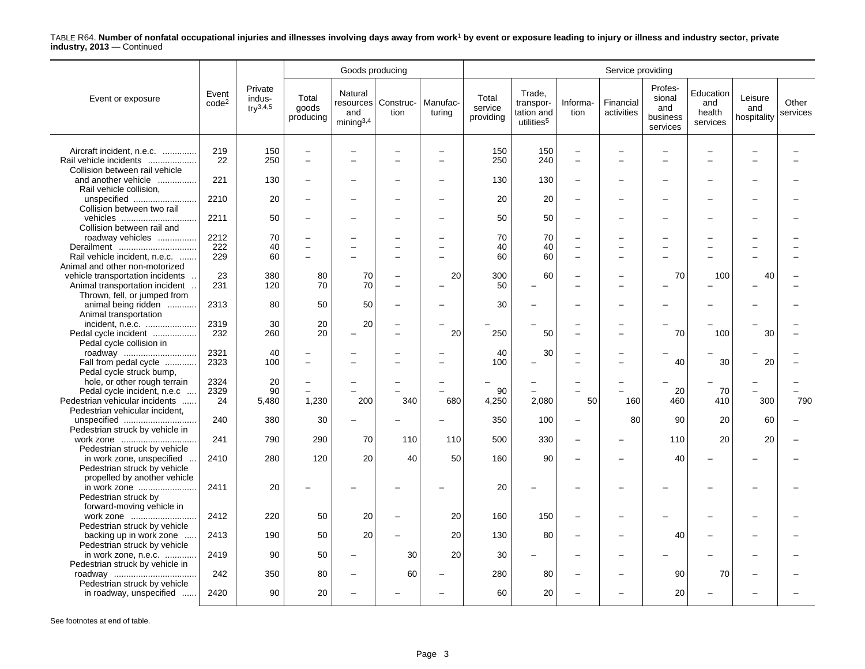|                                                                                                                                      |                            |                                    |                                                     | Goods producing                                      |                                      |                    |                               |                                                             |                                                             | Service providing       |                                                  |                                        |                               |                   |
|--------------------------------------------------------------------------------------------------------------------------------------|----------------------------|------------------------------------|-----------------------------------------------------|------------------------------------------------------|--------------------------------------|--------------------|-------------------------------|-------------------------------------------------------------|-------------------------------------------------------------|-------------------------|--------------------------------------------------|----------------------------------------|-------------------------------|-------------------|
| Event or exposure                                                                                                                    | Event<br>code <sup>2</sup> | Private<br>indus-<br>$try^{3,4,5}$ | Total<br>goods<br>producing                         | Natural<br>resources<br>and<br>mining <sup>3,4</sup> | Construc-<br>tion                    | Manufac-<br>turing | Total<br>service<br>providing | Trade,<br>transpor-<br>tation and<br>utilities <sup>5</sup> | Informa-<br>tion                                            | Financial<br>activities | Profes-<br>sional<br>and<br>business<br>services | Education<br>and<br>health<br>services | Leisure<br>and<br>hospitality | Other<br>services |
| Aircraft incident, n.e.c.<br>Rail vehicle incidents<br>Collision between rail vehicle                                                | 219<br>22                  | 150<br>250                         | $\overline{\phantom{0}}$<br>$\equiv$                | $\overline{\phantom{0}}$                             |                                      |                    | 150<br>250                    | 150<br>240                                                  | $\overline{\phantom{0}}$<br>$\equiv$                        |                         |                                                  |                                        |                               |                   |
| and another vehicle<br>Rail vehicle collision,                                                                                       | 221                        | 130                                | $\overline{\phantom{0}}$                            | $\overline{\phantom{0}}$                             |                                      |                    | 130                           | 130                                                         | $\overline{\phantom{0}}$                                    |                         |                                                  |                                        |                               |                   |
| unspecified<br>Collision between two rail                                                                                            | 2210                       | 20                                 |                                                     | ÷                                                    |                                      |                    | 20                            | 20                                                          | $\overline{\phantom{0}}$                                    |                         |                                                  |                                        |                               |                   |
| vehicles<br>Collision between rail and                                                                                               | 2211                       | 50                                 |                                                     |                                                      |                                      |                    | 50                            | 50                                                          | $\qquad \qquad -$                                           |                         |                                                  |                                        |                               |                   |
| roadway vehicles<br>Derailment<br>Rail vehicle incident, n.e.c.                                                                      | 2212<br>222<br>229         | 70<br>40<br>60                     | $\overline{\phantom{0}}$<br>$\equiv$                | $\overline{\phantom{0}}$<br>$\overline{a}$           | L.                                   |                    | 70<br>40<br>60                | 70<br>40<br>60                                              | $\qquad \qquad -$<br>$\qquad \qquad -$<br>$\qquad \qquad -$ | $\overline{a}$          |                                                  |                                        |                               |                   |
| Animal and other non-motorized<br>vehicle transportation incidents<br>Animal transportation incident<br>Thrown, fell, or jumped from | 23<br>231                  | 380<br>120                         | 80<br>70                                            | 70<br>70                                             | $\equiv$<br>$\overline{\phantom{0}}$ | 20                 | 300<br>50                     | 60                                                          |                                                             |                         | 70                                               | 100                                    | 40                            |                   |
| animal being ridden<br>Animal transportation                                                                                         | 2313                       | 80                                 | 50                                                  | 50                                                   | $\equiv$                             |                    | 30                            |                                                             | ÷                                                           |                         |                                                  |                                        |                               |                   |
| incident, n.e.c.<br>Pedal cycle incident<br>Pedal cycle collision in                                                                 | 2319<br>232                | 30<br>260                          | 20<br>20                                            | 20<br>$\overline{\phantom{0}}$                       | $\equiv$<br>-                        | 20                 | 250                           | 50                                                          | $\overline{\phantom{0}}$<br>L.                              |                         | 70                                               | 100                                    | 30                            |                   |
| roadway<br>Fall from pedal cycle<br>Pedal cycle struck bump,                                                                         | 2321<br>2323               | 40<br>100                          | $\overline{\phantom{a}}$                            | ÷<br>$\overline{\phantom{0}}$                        | -                                    |                    | 40<br>100                     | 30                                                          | $\overline{\phantom{0}}$<br>$\overline{\phantom{0}}$        | L,                      | 40                                               | 30                                     | 20                            |                   |
| hole, or other rough terrain<br>Pedal cycle incident, n.e.c<br>Pedestrian vehicular incidents                                        | 2324<br>2329<br>24         | 20<br>90<br>5,480                  | $\overline{\phantom{0}}$<br>$\overline{a}$<br>1,230 | 200                                                  | 340                                  | 680                | 90<br>4,250                   | 2,080                                                       | 50                                                          | 160                     | 20<br>460                                        | 70<br>410                              | 300                           | 790               |
| Pedestrian vehicular incident,<br>unspecified<br>Pedestrian struck by vehicle in                                                     | 240                        | 380                                | 30                                                  | $\overline{\phantom{0}}$                             |                                      |                    | 350                           | 100                                                         | $\qquad \qquad -$                                           | 80                      | 90                                               | 20                                     | 60                            |                   |
| work zone<br>Pedestrian struck by vehicle                                                                                            | 241                        | 790                                | 290                                                 | 70                                                   | 110                                  | 110                | 500                           | 330                                                         | $\overline{a}$                                              |                         | 110                                              | 20                                     | 20                            |                   |
| in work zone, unspecified<br>Pedestrian struck by vehicle<br>propelled by another vehicle                                            | 2410                       | 280                                | 120                                                 | 20                                                   | 40                                   | 50                 | 160                           | 90                                                          | $\overline{\phantom{0}}$                                    |                         | 40                                               |                                        |                               |                   |
| in work zone<br>Pedestrian struck by<br>forward-moving vehicle in                                                                    | 2411                       | 20                                 |                                                     |                                                      |                                      |                    | 20                            |                                                             |                                                             |                         |                                                  |                                        |                               |                   |
| work zone<br>Pedestrian struck by vehicle                                                                                            | 2412                       | 220                                | 50                                                  | 20                                                   | $\equiv$                             | 20                 | 160                           | 150                                                         | $\overline{\phantom{0}}$                                    |                         |                                                  |                                        |                               |                   |
| backing up in work zone<br>Pedestrian struck by vehicle                                                                              | 2413                       | 190                                | 50                                                  | 20                                                   |                                      | 20                 | 130                           | 80                                                          | $\overline{\phantom{0}}$                                    |                         | 40                                               |                                        |                               |                   |
| in work zone, n.e.c.<br>Pedestrian struck by vehicle in                                                                              | 2419                       | 90                                 | 50                                                  | $\overline{\phantom{0}}$                             | 30                                   | 20                 | 30                            |                                                             |                                                             |                         |                                                  |                                        |                               |                   |
| roadway<br>Pedestrian struck by vehicle                                                                                              | 242                        | 350                                | 80                                                  | $\overline{\phantom{a}}$                             | 60                                   |                    | 280                           | 80                                                          | ÷                                                           |                         | 90                                               | 70                                     |                               |                   |
| in roadway, unspecified                                                                                                              | 2420                       | 90                                 | 20                                                  | $\overline{\phantom{0}}$                             |                                      |                    | 60                            | 20                                                          |                                                             |                         | 20                                               |                                        |                               |                   |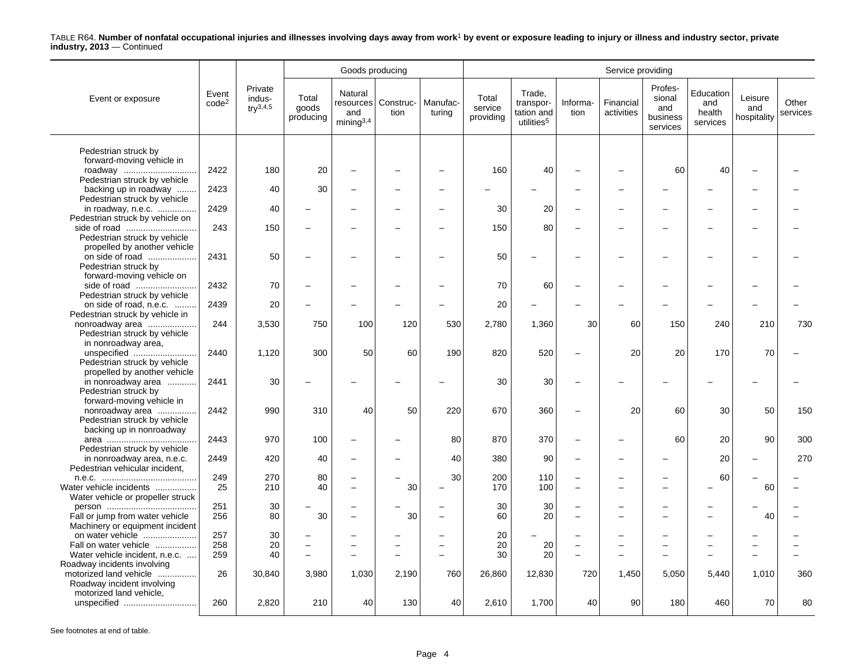|                                            |                            |                                          |                             | Goods producing                                      |                               |                    |                               |                                                             |                                                      | Service providing                                    |                                                  |                                        |                               |                   |
|--------------------------------------------|----------------------------|------------------------------------------|-----------------------------|------------------------------------------------------|-------------------------------|--------------------|-------------------------------|-------------------------------------------------------------|------------------------------------------------------|------------------------------------------------------|--------------------------------------------------|----------------------------------------|-------------------------------|-------------------|
| Event or exposure                          | Event<br>code <sup>2</sup> | Private<br>indus-<br>$\text{tr}^{3,4,5}$ | Total<br>goods<br>producing | Natural<br>and<br>mining <sup>3,4</sup>              | resources   Construc-<br>tion | Manufac-<br>turing | Total<br>service<br>providing | Trade.<br>transpor-<br>tation and<br>utilities <sup>5</sup> | Informa-<br>tion                                     | Financial<br>activities                              | Profes-<br>sional<br>and<br>business<br>services | Education<br>and<br>health<br>services | Leisure<br>and<br>hospitality | Other<br>services |
|                                            |                            |                                          |                             |                                                      |                               |                    |                               |                                                             |                                                      |                                                      |                                                  |                                        |                               |                   |
| Pedestrian struck by                       |                            |                                          |                             |                                                      |                               |                    |                               |                                                             |                                                      |                                                      |                                                  |                                        |                               |                   |
| forward-moving vehicle in                  | 2422                       | 180                                      | 20                          | $\overline{\phantom{0}}$                             |                               |                    | 160                           | 40                                                          |                                                      |                                                      | 60                                               | 40                                     |                               |                   |
| roadway<br>Pedestrian struck by vehicle    |                            |                                          |                             |                                                      |                               |                    |                               |                                                             |                                                      |                                                      |                                                  |                                        |                               |                   |
| backing up in roadway                      | 2423                       | 40                                       | 30                          | $\overline{\phantom{0}}$                             |                               |                    |                               |                                                             | $\overline{\phantom{0}}$                             |                                                      |                                                  |                                        |                               |                   |
| Pedestrian struck by vehicle               |                            |                                          |                             |                                                      |                               |                    |                               |                                                             |                                                      |                                                      |                                                  |                                        |                               |                   |
| in roadway, n.e.c.                         | 2429                       | 40                                       |                             |                                                      |                               |                    | 30                            | 20                                                          | $\overline{\phantom{0}}$                             |                                                      |                                                  |                                        |                               |                   |
| Pedestrian struck by vehicle on            |                            |                                          |                             |                                                      |                               |                    |                               |                                                             |                                                      |                                                      |                                                  |                                        |                               |                   |
|                                            | 243                        | 150                                      |                             | $\overline{\phantom{0}}$                             |                               |                    | 150                           | 80                                                          | $\overline{\phantom{0}}$                             |                                                      |                                                  |                                        | -                             |                   |
| Pedestrian struck by vehicle               |                            |                                          |                             |                                                      |                               |                    |                               |                                                             |                                                      |                                                      |                                                  |                                        |                               |                   |
| propelled by another vehicle               |                            |                                          |                             |                                                      |                               |                    |                               |                                                             |                                                      |                                                      |                                                  |                                        |                               |                   |
| on side of road                            | 2431                       | 50                                       |                             | $\overline{\phantom{0}}$                             |                               |                    | 50                            |                                                             | $\overline{\phantom{0}}$                             | $\overline{\phantom{0}}$                             |                                                  |                                        |                               |                   |
| Pedestrian struck by                       |                            |                                          |                             |                                                      |                               |                    |                               |                                                             |                                                      |                                                      |                                                  |                                        |                               |                   |
| forward-moving vehicle on                  |                            |                                          |                             |                                                      |                               |                    |                               |                                                             |                                                      |                                                      |                                                  |                                        |                               |                   |
| side of road                               | 2432                       | 70                                       |                             | $\overline{\phantom{0}}$                             |                               |                    | 70                            | 60                                                          | $\overline{\phantom{0}}$                             |                                                      |                                                  |                                        |                               |                   |
| Pedestrian struck by vehicle               |                            |                                          |                             |                                                      |                               |                    |                               |                                                             |                                                      |                                                      |                                                  |                                        |                               |                   |
| on side of road, n.e.c.                    | 2439                       | 20                                       |                             |                                                      |                               |                    | 20                            |                                                             |                                                      |                                                      |                                                  |                                        |                               |                   |
| Pedestrian struck by vehicle in            |                            |                                          |                             |                                                      |                               |                    |                               |                                                             |                                                      |                                                      |                                                  |                                        |                               |                   |
| nonroadway area                            | 244                        | 3,530                                    | 750                         | 100                                                  | 120                           | 530                | 2,780                         | 1,360                                                       | 30                                                   | 60                                                   | 150                                              | 240                                    | 210                           | 730               |
| Pedestrian struck by vehicle               |                            |                                          |                             |                                                      |                               |                    |                               |                                                             |                                                      |                                                      |                                                  |                                        |                               |                   |
| in nonroadway area,                        |                            |                                          |                             |                                                      |                               |                    |                               |                                                             |                                                      |                                                      |                                                  |                                        |                               |                   |
| unspecified                                | 2440                       | 1,120                                    | 300                         | 50                                                   | 60                            | 190                | 820                           | 520                                                         | $\overline{\phantom{0}}$                             | 20                                                   | 20                                               | 170                                    | 70                            |                   |
| Pedestrian struck by vehicle               |                            |                                          |                             |                                                      |                               |                    |                               |                                                             |                                                      |                                                      |                                                  |                                        |                               |                   |
| propelled by another vehicle               | 2441                       | 30                                       |                             |                                                      |                               |                    | 30                            | 30                                                          | $\overline{\phantom{0}}$                             |                                                      |                                                  |                                        |                               |                   |
| in nonroadway area<br>Pedestrian struck by |                            |                                          |                             |                                                      |                               |                    |                               |                                                             |                                                      |                                                      |                                                  |                                        |                               |                   |
| forward-moving vehicle in                  |                            |                                          |                             |                                                      |                               |                    |                               |                                                             |                                                      |                                                      |                                                  |                                        |                               |                   |
| nonroadway area                            | 2442                       | 990                                      | 310                         | 40                                                   | 50                            | 220                | 670                           | 360                                                         | $\overline{\phantom{0}}$                             | 20                                                   | 60                                               | 30                                     | 50                            | 150               |
| Pedestrian struck by vehicle               |                            |                                          |                             |                                                      |                               |                    |                               |                                                             |                                                      |                                                      |                                                  |                                        |                               |                   |
| backing up in nonroadway                   |                            |                                          |                             |                                                      |                               |                    |                               |                                                             |                                                      |                                                      |                                                  |                                        |                               |                   |
|                                            | 2443                       | 970                                      | 100                         | $\overline{\phantom{0}}$                             |                               | 80                 | 870                           | 370                                                         | $\overline{\phantom{0}}$                             |                                                      | 60                                               | 20                                     | 90                            | 300               |
| Pedestrian struck by vehicle               |                            |                                          |                             |                                                      |                               |                    |                               |                                                             |                                                      |                                                      |                                                  |                                        |                               |                   |
| in nonroadway area, n.e.c.                 | 2449                       | 420                                      | 40                          | $\overline{\phantom{0}}$                             |                               | 40                 | 380                           | 90                                                          | $\overline{\phantom{0}}$                             |                                                      |                                                  | 20                                     |                               | 270               |
| Pedestrian vehicular incident,             |                            |                                          |                             |                                                      |                               |                    |                               |                                                             |                                                      |                                                      |                                                  |                                        |                               |                   |
|                                            | 249                        | 270                                      | 80                          | $\overline{\phantom{0}}$                             |                               | 30                 | 200                           | 110                                                         | $\overline{\phantom{0}}$                             |                                                      |                                                  | 60                                     |                               |                   |
| Water vehicle incidents                    | 25                         | 210                                      | 40                          | $\overline{\phantom{0}}$                             | 30                            |                    | 170                           | 100                                                         | $\overline{\phantom{0}}$                             | $\overline{\phantom{0}}$                             |                                                  |                                        | 60                            |                   |
| Water vehicle or propeller struck          |                            |                                          |                             |                                                      |                               |                    |                               |                                                             |                                                      |                                                      |                                                  |                                        |                               |                   |
|                                            | 251                        | 30                                       |                             | $\overline{\phantom{0}}$                             |                               |                    | 30                            | 30                                                          | $\overline{\phantom{0}}$                             | $\overline{\phantom{0}}$                             |                                                  |                                        |                               |                   |
| Fall or jump from water vehicle            | 256                        | 80                                       | 30                          | $\overline{\phantom{a}}$                             | 30                            |                    | 60                            | 20                                                          | $\overline{\phantom{0}}$                             |                                                      |                                                  |                                        | 40                            |                   |
| Machinery or equipment incident            |                            |                                          |                             |                                                      |                               |                    |                               |                                                             |                                                      |                                                      |                                                  |                                        |                               |                   |
| on water vehicle<br>Fall on water vehicle  | 257<br>258                 | 30<br>20                                 | $\overline{\phantom{0}}$    | $\overline{\phantom{0}}$<br>$\overline{\phantom{0}}$ | $\overline{\phantom{0}}$      |                    | 20<br>20                      | 20                                                          | $\overline{\phantom{0}}$<br>$\overline{\phantom{0}}$ | $\overline{\phantom{0}}$<br>$\overline{\phantom{0}}$ |                                                  |                                        | -                             |                   |
| Water vehicle incident, n.e.c.             | 259                        | 40                                       | $\equiv$                    | $\overline{\phantom{a}}$                             | L.                            |                    | 30                            | 20                                                          | $\overline{\phantom{0}}$                             | $\overline{\phantom{0}}$                             |                                                  |                                        | $\overline{\phantom{0}}$      |                   |
| Roadway incidents involving                |                            |                                          |                             |                                                      |                               |                    |                               |                                                             |                                                      |                                                      |                                                  |                                        |                               |                   |
| motorized land vehicle                     | 26                         | 30,840                                   | 3,980                       | 1,030                                                | 2,190                         | 760                | 26,860                        | 12,830                                                      | 720                                                  | 1,450                                                | 5,050                                            | 5,440                                  | 1,010                         | 360               |
| Roadway incident involving                 |                            |                                          |                             |                                                      |                               |                    |                               |                                                             |                                                      |                                                      |                                                  |                                        |                               |                   |
| motorized land vehicle,                    |                            |                                          |                             |                                                      |                               |                    |                               |                                                             |                                                      |                                                      |                                                  |                                        |                               |                   |
| unspecified                                | 260                        | 2,820                                    | 210                         | 40                                                   | 130                           | 40                 | 2,610                         | 1,700                                                       | 40                                                   | 90                                                   | 180                                              | 460                                    | 70                            | 80                |
|                                            |                            |                                          |                             |                                                      |                               |                    |                               |                                                             |                                                      |                                                      |                                                  |                                        |                               |                   |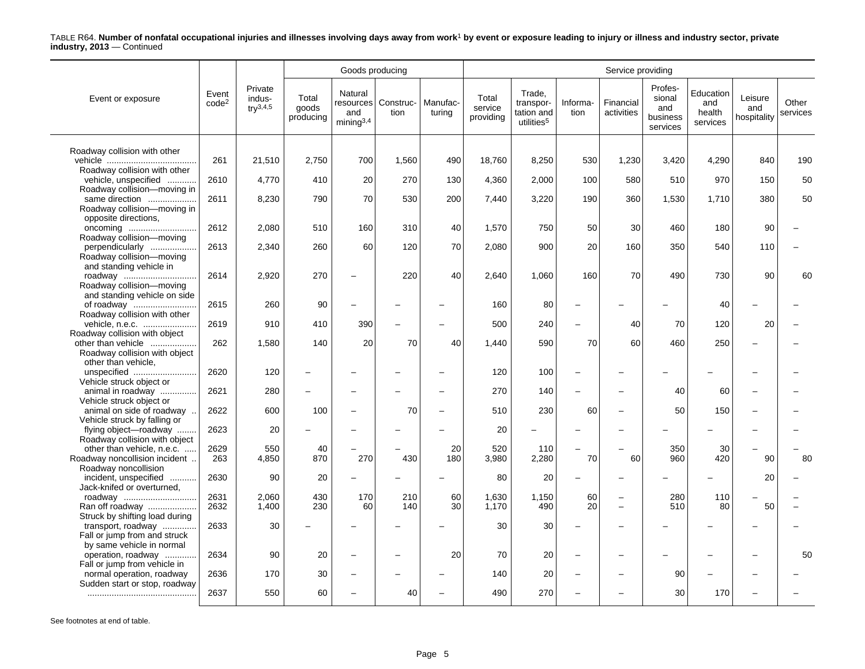|                                                                                 |                            |                                               |                             | Goods producing                                      |                   |                    |                               |                                                             |                          | Service providing        |                                                  |                                        |                               |                   |
|---------------------------------------------------------------------------------|----------------------------|-----------------------------------------------|-----------------------------|------------------------------------------------------|-------------------|--------------------|-------------------------------|-------------------------------------------------------------|--------------------------|--------------------------|--------------------------------------------------|----------------------------------------|-------------------------------|-------------------|
| Event or exposure                                                               | Event<br>code <sup>2</sup> | Private<br>indus-<br>$\text{tr} \sqrt{3.4.5}$ | Total<br>goods<br>producing | Natural<br>resources<br>and<br>minima <sup>3,4</sup> | Construc-<br>tion | Manufac-<br>turing | Total<br>service<br>providing | Trade,<br>transpor-<br>tation and<br>utilities <sup>5</sup> | Informa-<br>tion         | Financial<br>activities  | Profes-<br>sional<br>and<br>business<br>services | Education<br>and<br>health<br>services | Leisure<br>and<br>hospitality | Other<br>services |
| Roadway collision with other                                                    |                            |                                               |                             |                                                      |                   |                    |                               |                                                             |                          |                          |                                                  |                                        |                               |                   |
|                                                                                 | 261                        | 21,510                                        | 2,750                       | 700                                                  | 1,560             | 490                | 18,760                        | 8,250                                                       | 530                      | 1,230                    | 3,420                                            | 4,290                                  | 840                           | 190               |
| Roadway collision with other<br>vehicle, unspecified                            | 2610                       | 4,770                                         | 410                         | 20                                                   | 270               | 130                | 4,360                         | 2,000                                                       | 100                      | 580                      | 510                                              | 970                                    | 150                           | 50                |
| Roadway collision-moving in                                                     |                            |                                               |                             |                                                      |                   |                    |                               |                                                             |                          |                          |                                                  |                                        |                               |                   |
| same direction<br>Roadway collision-moving in<br>opposite directions,           | 2611                       | 8,230                                         | 790                         | 70                                                   | 530               | 200                | 7,440                         | 3,220                                                       | 190                      | 360                      | 1,530                                            | 1,710                                  | 380                           | 50                |
| oncoming                                                                        | 2612                       | 2,080                                         | 510                         | 160                                                  | 310               | 40                 | 1,570                         | 750                                                         | 50                       | 30                       | 460                                              | 180                                    | 90                            |                   |
| Roadway collision-moving<br>perpendicularly<br>Roadway collision-moving         | 2613                       | 2,340                                         | 260                         | 60                                                   | 120               | 70                 | 2,080                         | 900                                                         | 20                       | 160                      | 350                                              | 540                                    | 110                           |                   |
| and standing vehicle in<br>roadway<br>Roadway collision-moving                  | 2614                       | 2,920                                         | 270                         |                                                      | 220               | 40                 | 2,640                         | 1,060                                                       | 160                      | 70                       | 490                                              | 730                                    | 90                            | 60                |
| and standing vehicle on side<br>of roadway<br>Roadway collision with other      | 2615                       | 260                                           | 90                          |                                                      |                   |                    | 160                           | 80                                                          |                          |                          |                                                  | 40                                     |                               |                   |
| vehicle, n.e.c.                                                                 | 2619                       | 910                                           | 410                         | 390                                                  |                   |                    | 500                           | 240                                                         | $\overline{\phantom{0}}$ | 40                       | 70                                               | 120                                    | 20                            |                   |
| Roadway collision with object<br>other than vehicle                             | 262                        | 1,580                                         | 140                         | 20                                                   | 70                | 40                 | 1,440                         | 590                                                         | 70                       | 60                       | 460                                              | 250                                    |                               |                   |
| Roadway collision with object<br>other than vehicle,                            |                            |                                               |                             |                                                      |                   |                    |                               |                                                             |                          |                          |                                                  |                                        |                               |                   |
| unspecified<br>Vehicle struck object or                                         | 2620                       | 120                                           |                             |                                                      |                   |                    | 120                           | 100                                                         |                          |                          |                                                  |                                        |                               |                   |
| animal in roadway<br>Vehicle struck object or                                   | 2621                       | 280                                           |                             |                                                      |                   |                    | 270                           | 140                                                         |                          |                          | 40                                               | 60                                     |                               |                   |
| animal on side of roadway.<br>Vehicle struck by falling or                      | 2622                       | 600                                           | 100                         |                                                      | 70                |                    | 510                           | 230                                                         | 60                       |                          | 50                                               | 150                                    |                               |                   |
| flying object-roadway<br>Roadway collision with object                          | 2623                       | 20                                            |                             |                                                      |                   |                    | 20                            |                                                             |                          |                          |                                                  |                                        |                               |                   |
| other than vehicle, n.e.c.                                                      | 2629                       | 550                                           | 40                          |                                                      |                   | 20                 | 520                           | 110                                                         |                          |                          | 350                                              | 30                                     |                               |                   |
| Roadway noncollision incident<br>Roadway noncollision                           | 263                        | 4,850                                         | 870                         | 270                                                  | 430               | 180                | 3,980                         | 2,280                                                       | 70                       | 60                       | 960                                              | 420                                    | 90                            | 80                |
| incident, unspecified<br>.<br>Jack-knifed or overturned,                        | 2630                       | 90                                            | 20                          |                                                      |                   |                    | 80                            | 20                                                          |                          |                          |                                                  |                                        | 20                            |                   |
| roadway                                                                         | 2631                       | 2,060                                         | 430                         | 170                                                  | 210               | 60                 | 1,630                         | 1,150                                                       | 60                       | $\equiv$                 | 280                                              | 110                                    |                               |                   |
| Ran off roadway<br>Struck by shifting load during                               | 2632                       | 1,400                                         | 230                         | 60                                                   | 140               | 30                 | 1,170                         | 490                                                         | 20                       | $\overline{\phantom{0}}$ | 510                                              | 80                                     | 50                            |                   |
| transport, roadway<br>Fall or jump from and struck<br>by same vehicle in normal | 2633                       | 30                                            |                             |                                                      |                   |                    | 30                            | 30                                                          |                          |                          |                                                  |                                        |                               |                   |
| operation, roadway<br>Fall or jump from vehicle in                              | 2634                       | 90                                            | 20                          |                                                      |                   | 20                 | 70                            | 20                                                          | $\overline{\phantom{a}}$ |                          |                                                  |                                        |                               | 50                |
| normal operation, roadway                                                       | 2636                       | 170                                           | 30                          |                                                      |                   |                    | 140                           | 20                                                          |                          |                          | 90                                               |                                        |                               |                   |
| Sudden start or stop, roadway                                                   | 2637                       | 550                                           | 60                          |                                                      | 40                |                    | 490                           | 270                                                         |                          |                          | 30                                               | 170                                    |                               |                   |
|                                                                                 |                            |                                               |                             |                                                      |                   |                    |                               |                                                             |                          |                          |                                                  |                                        |                               |                   |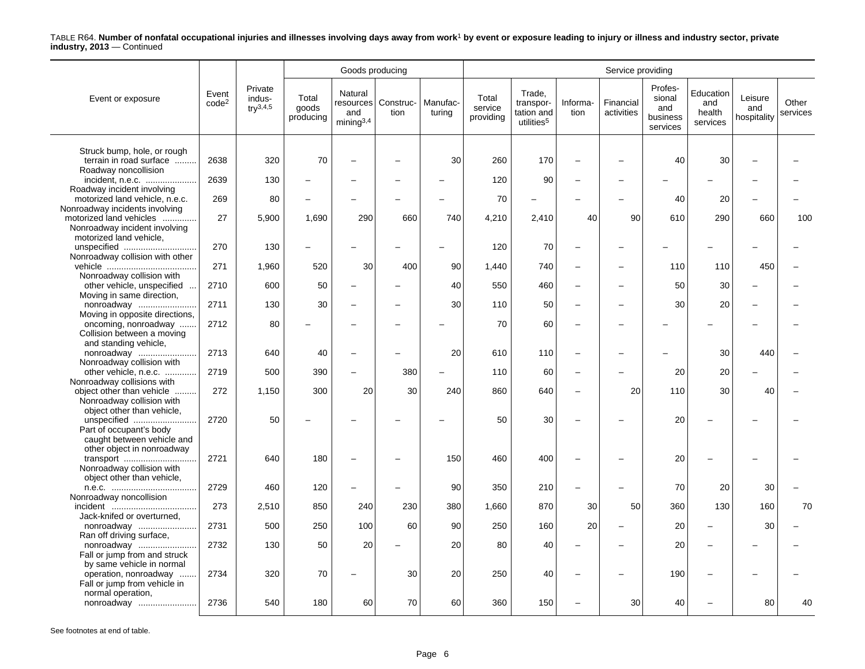|                                                                                            |                            |                                          |                             | Goods producing                            |                               |                    |                               |                                                             |                          | Service providing       |                                                  |                                        |                               |                   |
|--------------------------------------------------------------------------------------------|----------------------------|------------------------------------------|-----------------------------|--------------------------------------------|-------------------------------|--------------------|-------------------------------|-------------------------------------------------------------|--------------------------|-------------------------|--------------------------------------------------|----------------------------------------|-------------------------------|-------------------|
| Event or exposure                                                                          | Event<br>code <sup>2</sup> | Private<br>indus-<br>$\text{tr}^{3,4,5}$ | Total<br>goods<br>producing | Natural<br>and<br>$min$ ing <sup>3,4</sup> | resources   Construc-<br>tion | Manufac-<br>turing | Total<br>service<br>providing | Trade,<br>transpor-<br>tation and<br>utilities <sup>5</sup> | Informa-<br>tion         | Financial<br>activities | Profes-<br>sional<br>and<br>business<br>services | Education<br>and<br>health<br>services | Leisure<br>and<br>hospitality | Other<br>services |
|                                                                                            |                            |                                          |                             |                                            |                               |                    |                               |                                                             |                          |                         |                                                  |                                        |                               |                   |
| Struck bump, hole, or rough<br>terrain in road surface<br>Roadway noncollision             | 2638                       | 320                                      | 70                          | $\overline{\phantom{0}}$                   |                               | 30                 | 260                           | 170                                                         | $\overline{\phantom{0}}$ |                         | 40                                               | 30                                     |                               |                   |
| incident, n.e.c.                                                                           | 2639                       | 130                                      |                             |                                            |                               |                    | 120                           | 90                                                          |                          |                         |                                                  |                                        |                               |                   |
| Roadway incident involving<br>motorized land vehicle, n.e.c.                               | 269                        | 80                                       |                             |                                            |                               |                    | 70                            |                                                             |                          |                         | 40                                               | 20                                     |                               |                   |
| Nonroadway incidents involving<br>motorized land vehicles<br>Nonroadway incident involving | 27                         | 5,900                                    | 1,690                       | 290                                        | 660                           | 740                | 4,210                         | 2,410                                                       | 40                       | 90                      | 610                                              | 290                                    | 660                           | 100               |
| motorized land vehicle,<br>unspecified                                                     | 270                        | 130                                      |                             |                                            |                               |                    | 120                           | 70                                                          | $\overline{a}$           |                         |                                                  |                                        |                               |                   |
| Nonroadway collision with other                                                            |                            |                                          |                             |                                            |                               |                    |                               |                                                             |                          |                         |                                                  |                                        |                               |                   |
| Nonroadway collision with                                                                  | 271                        | 1,960                                    | 520                         | 30                                         | 400                           | 90                 | 1,440                         | 740                                                         | $\overline{\phantom{0}}$ |                         | 110                                              | 110                                    | 450                           |                   |
| other vehicle, unspecified<br>Moving in same direction,                                    | 2710                       | 600                                      | 50                          | $\overline{\phantom{0}}$                   |                               | 40                 | 550                           | 460                                                         | $\overline{\phantom{0}}$ |                         | 50                                               | 30                                     |                               |                   |
| nonroadway<br>Moving in opposite directions,                                               | 2711                       | 130                                      | 30                          | $\overline{\phantom{0}}$                   |                               | 30                 | 110                           | 50                                                          | $\overline{\phantom{0}}$ |                         | 30                                               | 20                                     |                               |                   |
| oncoming, nonroadway<br>Collision between a moving                                         | 2712                       | 80                                       |                             |                                            |                               |                    | 70                            | 60                                                          | $\overline{\phantom{0}}$ |                         |                                                  |                                        |                               |                   |
| and standing vehicle,<br>nonroadway                                                        | 2713                       | 640                                      | 40                          | $\overline{\phantom{0}}$                   |                               | 20                 | 610                           | 110                                                         | $\overline{\phantom{0}}$ |                         |                                                  | 30                                     | 440                           |                   |
| Nonroadway collision with<br>other vehicle, n.e.c.                                         | 2719                       | 500                                      | 390                         |                                            | 380                           |                    | 110                           | 60                                                          | $\overline{a}$           |                         | 20                                               | 20                                     |                               |                   |
| Nonroadway collisions with<br>object other than vehicle                                    | 272                        | 1,150                                    | 300                         | 20                                         | 30                            | 240                | 860                           | 640                                                         | $\overline{\phantom{0}}$ | 20                      | 110                                              | 30                                     | 40                            |                   |
| Nonroadway collision with<br>object other than vehicle,                                    |                            |                                          |                             |                                            |                               |                    |                               |                                                             |                          |                         |                                                  |                                        |                               |                   |
| unspecified<br>Part of occupant's body<br>caught between vehicle and                       | 2720                       | 50                                       |                             |                                            |                               |                    | 50                            | 30                                                          | $\overline{\phantom{0}}$ |                         | 20                                               |                                        |                               |                   |
| other object in nonroadway<br>transport                                                    | 2721                       | 640                                      | 180                         |                                            |                               | 150                | 460                           | 400                                                         |                          |                         | 20                                               |                                        |                               |                   |
| Nonroadway collision with<br>object other than vehicle,                                    |                            |                                          |                             |                                            |                               |                    |                               |                                                             |                          |                         |                                                  |                                        |                               |                   |
| Nonroadway noncollision                                                                    | 2729                       | 460                                      | 120                         |                                            |                               | 90                 | 350                           | 210                                                         |                          |                         | 70                                               | 20                                     | 30                            |                   |
| Jack-knifed or overturned.                                                                 | 273                        | 2,510                                    | 850                         | 240                                        | 230                           | 380                | 1,660                         | 870                                                         | 30                       | 50                      | 360                                              | 130                                    | 160                           | 70                |
| nonroadway<br>Ran off driving surface,                                                     | 2731                       | 500                                      | 250                         | 100                                        | 60                            | 90                 | 250                           | 160                                                         | 20                       |                         | 20                                               |                                        | 30                            |                   |
| nonroadway<br>Fall or jump from and struck                                                 | 2732                       | 130                                      | 50                          | 20                                         |                               | 20                 | 80                            | 40                                                          |                          |                         | 20                                               |                                        |                               |                   |
| by same vehicle in normal<br>operation, nonroadway<br>Fall or jump from vehicle in         | 2734                       | 320                                      | 70                          |                                            | 30                            | 20                 | 250                           | 40                                                          | ÷                        |                         | 190                                              |                                        |                               |                   |
| normal operation,<br>nonroadway                                                            | 2736                       | 540                                      | 180                         | 60                                         | 70                            | 60                 | 360                           | 150                                                         |                          | 30                      | 40                                               |                                        | 80                            | 40                |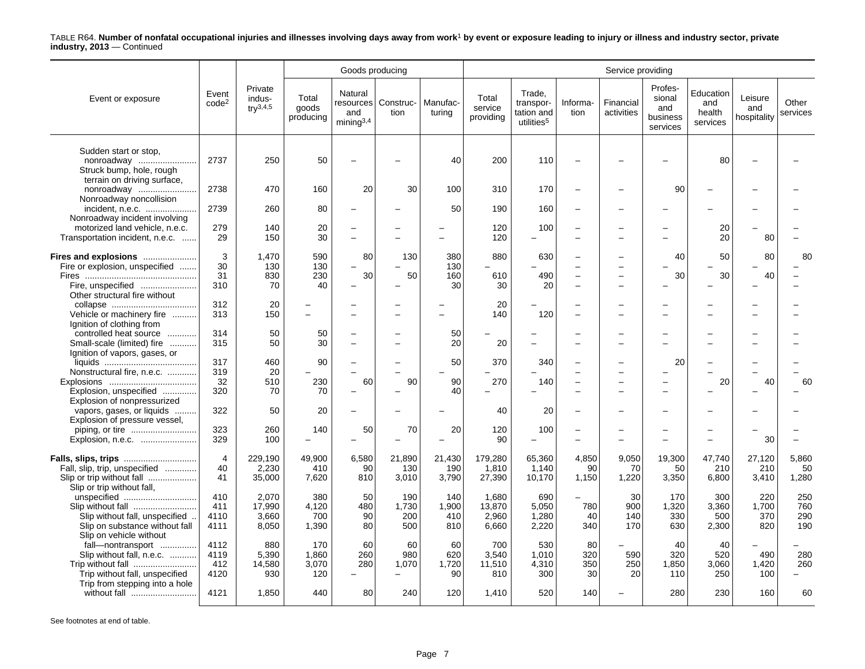|                                                                                                                                  |                             |                                    |                              | Goods producing                         |                             |                            |                                   |                                                             |                                      | Service providing                                    |                                                  |                                        |                               |                                        |
|----------------------------------------------------------------------------------------------------------------------------------|-----------------------------|------------------------------------|------------------------------|-----------------------------------------|-----------------------------|----------------------------|-----------------------------------|-------------------------------------------------------------|--------------------------------------|------------------------------------------------------|--------------------------------------------------|----------------------------------------|-------------------------------|----------------------------------------|
| Event or exposure                                                                                                                | Event<br>code <sup>2</sup>  | Private<br>indus-<br>$try^{3,4,5}$ | Total<br>goods<br>producing  | Natural<br>and<br>minina <sup>3,4</sup> | resources Construc-<br>tion | Manufac-<br>turing         | Total<br>service<br>providing     | Trade,<br>transpor-<br>tation and<br>utilities <sup>5</sup> | Informa-<br>tion                     | Financial<br>activities                              | Profes-<br>sional<br>and<br>business<br>services | Education<br>and<br>health<br>services | Leisure<br>and<br>hospitality | Other<br>services                      |
| Sudden start or stop,<br>nonroadway<br>Struck bump, hole, rough<br>terrain on driving surface.                                   | 2737                        | 250                                | 50                           |                                         |                             | 40                         | 200                               | 110                                                         |                                      |                                                      |                                                  | 80                                     |                               |                                        |
| nonroadway<br>Nonroadway noncollision                                                                                            | 2738                        | 470                                | 160                          | 20                                      | 30                          | 100                        | 310                               | 170                                                         | $\overline{\phantom{0}}$             |                                                      | 90                                               |                                        |                               |                                        |
| incident, n.e.c.<br>Nonroadway incident involving                                                                                | 2739                        | 260                                | 80                           |                                         |                             | 50                         | 190                               | 160                                                         | $\overline{\phantom{0}}$             |                                                      |                                                  |                                        |                               |                                        |
| motorized land vehicle, n.e.c.<br>Transportation incident, n.e.c.                                                                | 279<br>29                   | 140<br>150                         | 20<br>30                     | $\overline{\phantom{0}}$                |                             |                            | 120<br>120                        | 100<br>$\overline{\phantom{0}}$                             | $\overline{\phantom{0}}$<br>$\equiv$ |                                                      |                                                  | 20<br>20                               | 80                            |                                        |
| Fires and explosions<br>Fire or explosion, unspecified<br>Fire, unspecified<br>Other structural fire without                     | 3<br>30<br>31<br>310        | 1.470<br>130<br>830<br>70          | 590<br>130<br>230<br>40      | 80<br>30                                | 130<br>50                   | 380<br>130<br>160<br>30    | 880<br>610<br>30                  | 630<br>490<br>20                                            | $\equiv$<br>$\sim$                   | $\overline{\phantom{0}}$<br>$\overline{\phantom{0}}$ | 40<br>30                                         | 50<br>30                               | 80<br>40                      | 80                                     |
| Vehicle or machinery fire<br>Ignition of clothing from                                                                           | 312<br>313                  | 20<br>150                          | $\overline{\phantom{0}}$     |                                         |                             |                            | 20<br>140                         | 120                                                         | $\equiv$                             |                                                      |                                                  |                                        |                               |                                        |
| controlled heat source<br>.<br>Small-scale (limited) fire<br>Ignition of vapors, gases, or                                       | 314<br>315                  | 50<br>50                           | 50<br>30                     |                                         |                             | 50<br>20                   | 20                                |                                                             |                                      |                                                      |                                                  |                                        |                               |                                        |
| Nonstructural fire, n.e.c.<br>Explosion, unspecified<br>Explosion of nonpressurized                                              | 317<br>319<br>32<br>320     | 460<br>20<br>510<br>70             | 90<br>230<br>70              | 60                                      | 90                          | 50<br>90<br>40             | 370<br>270                        | 340<br>140                                                  | $\overline{\phantom{0}}$             | $\equiv$<br>$\overline{\phantom{0}}$                 | 20                                               | 20                                     | 40                            | 60                                     |
| vapors, gases, or liquids<br>Explosion of pressure vessel,                                                                       | 322                         | 50                                 | 20                           |                                         |                             |                            | 40                                | 20                                                          | $\overline{\phantom{0}}$             |                                                      |                                                  |                                        |                               |                                        |
| piping, or tire<br>Explosion, n.e.c.                                                                                             | 323<br>329                  | 260<br>100                         | 140                          | 50                                      | 70                          | 20                         | 120<br>90                         | 100                                                         | -                                    |                                                      |                                                  |                                        | 30                            |                                        |
| Fall, slip, trip, unspecified<br>Slip or trip without fall<br>Slip or trip without fall,                                         | $\overline{4}$<br>40<br>41  | 229,190<br>2,230<br>35,000         | 49,900<br>410<br>7,620       | 6,580<br>90<br>810                      | 21,890<br>130<br>3,010      | 21,430<br>190<br>3,790     | 179,280<br>1.810<br>27,390        | 65,360<br>1,140<br>10,170                                   | 4,850<br>90<br>1,150                 | 9,050<br>70<br>1,220                                 | 19,300<br>50<br>3,350                            | 47,740<br>210<br>6,800                 | 27,120<br>210<br>3,410        | 5,860<br>50<br>1,280                   |
| unspecified<br>Slip without fall<br>Slip without fall, unspecified<br>Slip on substance without fall                             | 410<br>411<br>4110<br>4111  | 2,070<br>17,990<br>3,660<br>8,050  | 380<br>4,120<br>700<br>1,390 | 50<br>480<br>90<br>80                   | 190<br>1,730<br>200<br>500  | 140<br>1,900<br>410<br>810 | 1.680<br>13,870<br>2,960<br>6,660 | 690<br>5,050<br>1,280<br>2,220                              | 780<br>40<br>340                     | 30<br>900<br>140<br>170                              | 170<br>1,320<br>330<br>630                       | 300<br>3,360<br>500<br>2,300           | 220<br>1.700<br>370<br>820    | 250<br>760<br>290<br>190               |
| Slip on vehicle without<br>fall-nontransport<br>Slip without fall, n.e.c.<br>Trip without fall<br>Trip without fall, unspecified | 4112<br>4119<br>412<br>4120 | 880<br>5,390<br>14,580<br>930      | 170<br>1,860<br>3,070<br>120 | 60<br>260<br>280                        | 60<br>980<br>1,070          | 60<br>620<br>1,720<br>90   | 700<br>3.540<br>11,510<br>810     | 530<br>1,010<br>4,310<br>300                                | 80<br>320<br>350<br>30               | 590<br>250<br>20                                     | 40<br>320<br>1,850<br>110                        | 40<br>520<br>3,060<br>250              | 490<br>1,420<br>100           | 280<br>260<br>$\overline{\phantom{0}}$ |
| Trip from stepping into a hole<br>without fall                                                                                   | 4121                        | 1,850                              | 440                          | 80                                      | 240                         | 120                        | 1,410                             | 520                                                         | 140                                  |                                                      | 280                                              | 230                                    | 160                           | 60                                     |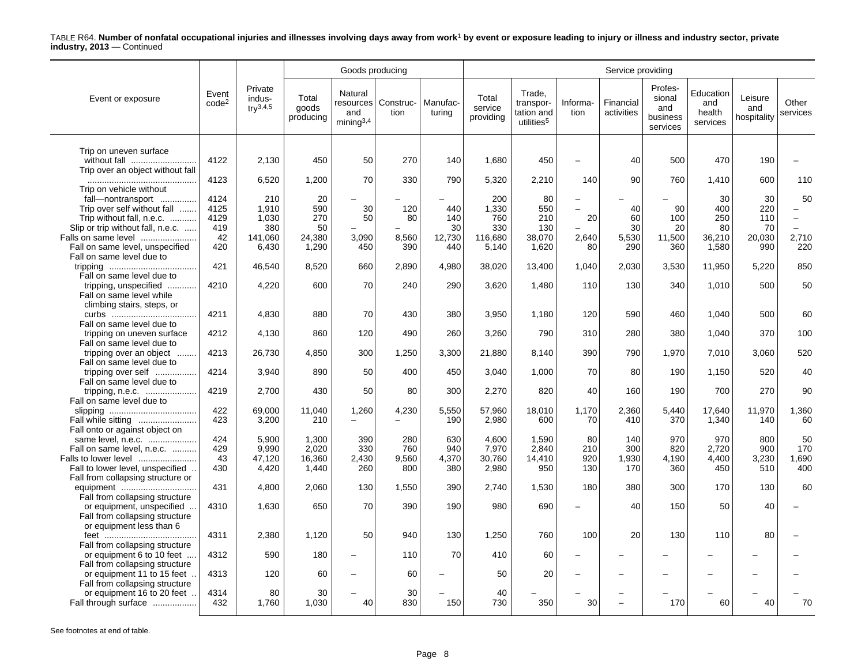|                                                   |                            |                                               |                             | Goods producing                         |                               |                    |                               |                                                             |                          | Service providing        |                                                  |                                        |                               |                   |
|---------------------------------------------------|----------------------------|-----------------------------------------------|-----------------------------|-----------------------------------------|-------------------------------|--------------------|-------------------------------|-------------------------------------------------------------|--------------------------|--------------------------|--------------------------------------------------|----------------------------------------|-------------------------------|-------------------|
| Event or exposure                                 | Event<br>code <sup>2</sup> | Private<br>indus-<br>$\text{tr} \sqrt{3,4,5}$ | Total<br>goods<br>producing | Natural<br>and<br>minima <sup>3,4</sup> | resources   Construc-<br>tion | Manufac-<br>turina | Total<br>service<br>providing | Trade.<br>transpor-<br>tation and<br>utilities <sup>5</sup> | Informa-<br>tion         | Financial<br>activities  | Profes-<br>sional<br>and<br>business<br>services | Education<br>and<br>health<br>services | Leisure<br>and<br>hospitality | Other<br>services |
|                                                   |                            |                                               |                             |                                         |                               |                    |                               |                                                             |                          |                          |                                                  |                                        |                               |                   |
| Trip on uneven surface<br>without fall            | 4122                       | 2,130                                         | 450                         | 50                                      | 270                           | 140                | 1,680                         | 450                                                         | $\overline{a}$           | 40                       | 500                                              | 470                                    | 190                           |                   |
| Trip over an object without fall                  |                            |                                               |                             |                                         |                               |                    |                               |                                                             |                          |                          |                                                  |                                        |                               |                   |
|                                                   | 4123                       | 6,520                                         | 1,200                       | 70                                      | 330                           | 790                | 5,320                         | 2,210                                                       | 140                      | 90                       | 760                                              | 1,410                                  | 600                           | 110               |
| Trip on vehicle without                           |                            |                                               |                             |                                         |                               |                    |                               |                                                             |                          |                          |                                                  |                                        |                               |                   |
| fall-nontransport                                 | 4124                       | 210                                           | 20                          |                                         |                               |                    | 200                           | 80                                                          |                          |                          |                                                  | 30                                     | 30                            | 50                |
| Trip over self without fall                       | 4125                       | 1,910                                         | 590                         | 30                                      | 120                           | 440                | 1,330                         | 550                                                         | $\overline{\phantom{0}}$ | 40                       | 90                                               | 400                                    | 220                           | $\equiv$          |
| Trip without fall, n.e.c.                         | 4129                       | 1,030                                         | 270                         | 50                                      | 80                            | 140                | 760                           | 210                                                         | 20                       | 60                       | 100                                              | 250                                    | 110                           | $\equiv$          |
| Slip or trip without fall, n.e.c.                 | 419                        | 380                                           | 50                          |                                         |                               | 30                 | 330                           | 130                                                         |                          | 30                       | 20                                               | 80                                     | 70                            |                   |
| Falls on same level                               | 42                         | 141.060                                       | 24,380                      | 3.090                                   | 8,560                         | 12,730             | 116,680                       | 38.070                                                      | 2,640                    | 5,530                    | 11,500                                           | 36,210                                 | 20,030                        | 2,710             |
| Fall on same level, unspecified                   | 420                        | 6,430                                         | 1,290                       | 450                                     | 390                           | 440                | 5,140                         | 1,620                                                       | 80                       | 290                      | 360                                              | 1,580                                  | 990                           | 220               |
| Fall on same level due to                         |                            |                                               |                             |                                         |                               |                    |                               |                                                             |                          |                          |                                                  |                                        |                               |                   |
|                                                   | 421                        | 46,540                                        | 8,520                       | 660                                     | 2,890                         | 4,980              | 38.020                        | 13,400                                                      | 1,040                    | 2,030                    | 3,530                                            | 11,950                                 | 5,220                         | 850               |
| Fall on same level due to                         | 4210                       | 4,220                                         |                             | 70                                      |                               | 290                | 3,620                         |                                                             | 110                      | 130                      | 340                                              |                                        | 500                           | 50                |
| tripping, unspecified<br>Fall on same level while |                            |                                               | 600                         |                                         | 240                           |                    |                               | 1,480                                                       |                          |                          |                                                  | 1,010                                  |                               |                   |
|                                                   |                            |                                               |                             |                                         |                               |                    |                               |                                                             |                          |                          |                                                  |                                        |                               |                   |
| climbing stairs, steps, or                        | 4211                       | 4,830                                         | 880                         | 70                                      | 430                           | 380                | 3,950                         | 1,180                                                       | 120                      | 590                      | 460                                              | 1,040                                  | 500                           | 60                |
| Fall on same level due to                         |                            |                                               |                             |                                         |                               |                    |                               |                                                             |                          |                          |                                                  |                                        |                               |                   |
| tripping on uneven surface                        | 4212                       | 4,130                                         | 860                         | 120                                     | 490                           | 260                | 3,260                         | 790                                                         | 310                      | 280                      | 380                                              | 1,040                                  | 370                           | 100               |
| Fall on same level due to                         |                            |                                               |                             |                                         |                               |                    |                               |                                                             |                          |                          |                                                  |                                        |                               |                   |
| tripping over an object                           | 4213                       | 26,730                                        | 4,850                       | 300                                     | 1,250                         | 3,300              | 21,880                        | 8,140                                                       | 390                      | 790                      | 1,970                                            | 7,010                                  | 3,060                         | 520               |
| Fall on same level due to                         |                            |                                               |                             |                                         |                               |                    |                               |                                                             |                          |                          |                                                  |                                        |                               |                   |
| tripping over self                                | 4214                       | 3,940                                         | 890                         | 50                                      | 400                           | 450                | 3,040                         | 1,000                                                       | 70                       | 80                       | 190                                              | 1,150                                  | 520                           | 40                |
| Fall on same level due to                         |                            |                                               |                             |                                         |                               |                    |                               |                                                             |                          |                          |                                                  |                                        |                               |                   |
| tripping, n.e.c.                                  | 4219                       | 2.700                                         | 430                         | 50                                      | 80                            | 300                | 2,270                         | 820                                                         | 40                       | 160                      | 190                                              | 700                                    | 270                           | 90                |
| Fall on same level due to                         |                            |                                               |                             |                                         |                               |                    |                               |                                                             |                          |                          |                                                  |                                        |                               |                   |
|                                                   | 422                        | 69,000                                        | 11,040                      | 1,260                                   | 4,230                         | 5,550              | 57,960                        | 18,010                                                      | 1,170                    | 2,360                    | 5,440                                            | 17,640                                 | 11,970                        | 1,360             |
| Fall while sitting                                | 423                        | 3,200                                         | 210                         | $\overline{\phantom{0}}$                |                               | 190                | 2,980                         | 600                                                         | 70                       | 410                      | 370                                              | 1,340                                  | 140                           | 60                |
| Fall onto or against object on                    |                            |                                               |                             |                                         |                               |                    |                               |                                                             |                          |                          |                                                  |                                        |                               |                   |
| same level, n.e.c.                                | 424                        | 5,900                                         | 1,300                       | 390                                     | 280                           | 630                | 4,600                         | 1,590                                                       | 80                       | 140                      | 970                                              | 970                                    | 800                           | 50                |
| Fall on same level, n.e.c.                        | 429                        | 9.990                                         | 2.020                       | 330                                     | 760                           | 940                | 7.970                         | 2.840                                                       | 210                      | 300                      | 820                                              | 2.720                                  | 900                           | 170               |
| Falls to lower level                              | 43                         | 47,120                                        | 16,360                      | 2,430                                   | 9,560                         | 4,370              | 30,760                        | 14,410                                                      | 920                      | 1,930                    | 4,190                                            | 4,400                                  | 3,230                         | 1,690             |
| Fall to lower level, unspecified                  | 430                        | 4,420                                         | 1,440                       | 260                                     | 800                           | 380                | 2,980                         | 950                                                         | 130                      | 170                      | 360                                              | 450                                    | 510                           | 400               |
| Fall from collapsing structure or                 |                            |                                               |                             |                                         |                               |                    |                               |                                                             |                          |                          |                                                  |                                        |                               |                   |
| equipment                                         | 431                        | 4.800                                         | 2.060                       | 130                                     | 1,550                         | 390                | 2.740                         | 1,530                                                       | 180                      | 380                      | 300                                              | 170                                    | 130                           | 60                |
| Fall from collapsing structure                    |                            |                                               |                             |                                         |                               |                    |                               |                                                             |                          |                          |                                                  |                                        |                               |                   |
| or equipment, unspecified                         | 4310                       | 1,630                                         | 650                         | 70                                      | 390                           | 190                | 980                           | 690                                                         |                          | 40                       | 150                                              | 50                                     | 40                            |                   |
| Fall from collapsing structure                    |                            |                                               |                             |                                         |                               |                    |                               |                                                             |                          |                          |                                                  |                                        |                               |                   |
| or equipment less than 6                          |                            |                                               |                             |                                         |                               |                    |                               |                                                             |                          |                          |                                                  |                                        |                               |                   |
|                                                   | 4311                       | 2,380                                         | 1,120                       | 50                                      | 940                           | 130                | 1,250                         | 760                                                         | 100                      | 20                       | 130                                              | 110                                    | 80                            |                   |
| Fall from collapsing structure                    |                            |                                               |                             |                                         |                               |                    |                               |                                                             |                          |                          |                                                  |                                        |                               |                   |
| or equipment 6 to 10 feet                         | 4312                       | 590                                           | 180                         | $\equiv$                                | 110                           | 70                 | 410                           | 60                                                          | $\overline{a}$           |                          |                                                  |                                        |                               |                   |
| Fall from collapsing structure                    |                            |                                               |                             |                                         |                               |                    |                               |                                                             |                          |                          |                                                  |                                        |                               |                   |
| or equipment 11 to 15 feet.                       | 4313                       | 120                                           | 60                          | $\overline{\phantom{0}}$                | 60                            |                    | 50                            | 20                                                          | $\overline{\phantom{0}}$ | $\overline{\phantom{0}}$ |                                                  |                                        |                               |                   |
| Fall from collapsing structure                    |                            |                                               |                             |                                         |                               |                    |                               |                                                             |                          |                          |                                                  |                                        |                               |                   |
| or equipment 16 to 20 feet                        | 4314                       | 80                                            | 30                          |                                         | 30                            |                    | 40                            |                                                             |                          |                          |                                                  |                                        |                               |                   |
| Fall through surface                              | 432                        | 1.760                                         | 1,030                       | 40                                      | 830                           | 150                | 730                           | 350                                                         | 30                       | $\equiv$                 | 170                                              | 60                                     | 40                            | 70                |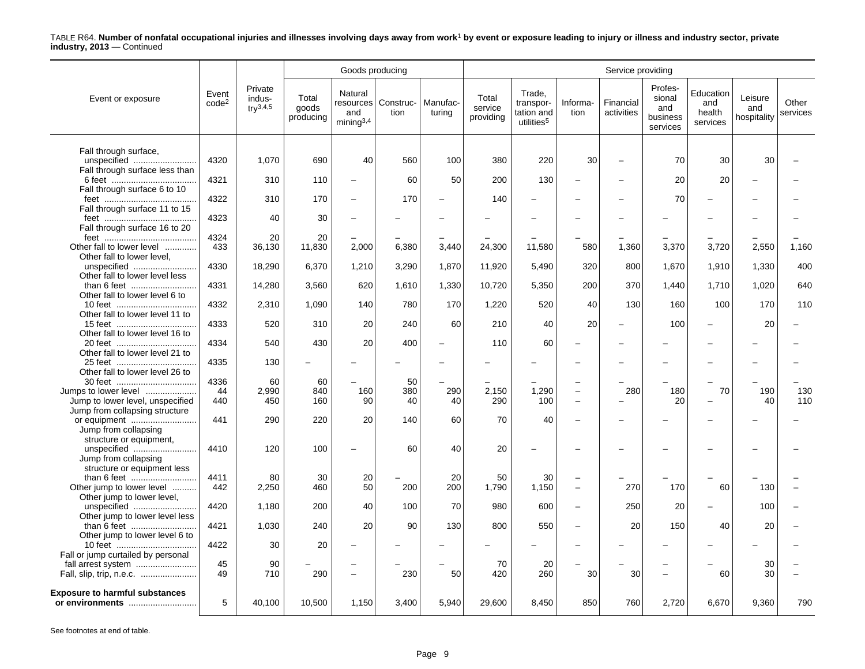|                                                         |                            |                                          |                             | Goods producing                         |                               |                    |                               |                                                             |                          | Service providing       |                                                  |                                        |                               |                   |
|---------------------------------------------------------|----------------------------|------------------------------------------|-----------------------------|-----------------------------------------|-------------------------------|--------------------|-------------------------------|-------------------------------------------------------------|--------------------------|-------------------------|--------------------------------------------------|----------------------------------------|-------------------------------|-------------------|
| Event or exposure                                       | Event<br>code <sup>2</sup> | Private<br>indus-<br>$\text{tr}^{3,4,5}$ | Total<br>goods<br>producing | Natural<br>and<br>minima <sup>3,4</sup> | resources   Construc-<br>tion | Manufac-<br>turing | Total<br>service<br>providing | Trade,<br>transpor-<br>tation and<br>utilities <sup>5</sup> | Informa-<br>tion         | Financial<br>activities | Profes-<br>sional<br>and<br>business<br>services | Education<br>and<br>health<br>services | Leisure<br>and<br>hospitality | Other<br>services |
|                                                         |                            |                                          |                             |                                         |                               |                    |                               |                                                             |                          |                         |                                                  |                                        |                               |                   |
| Fall through surface,                                   |                            |                                          |                             |                                         |                               |                    |                               |                                                             |                          |                         |                                                  |                                        |                               |                   |
| unspecified                                             | 4320                       | 1,070                                    | 690                         | 40                                      | 560                           | 100                | 380                           | 220                                                         | 30                       |                         | 70                                               | 30                                     | 30                            |                   |
| Fall through surface less than                          |                            |                                          |                             |                                         |                               |                    |                               |                                                             |                          |                         |                                                  |                                        |                               |                   |
|                                                         | 4321                       | 310                                      | 110                         | $\overline{\phantom{0}}$                | 60                            | 50                 | 200                           | 130                                                         | $\overline{\phantom{a}}$ |                         | 20                                               | 20                                     |                               |                   |
| Fall through surface 6 to 10                            |                            |                                          |                             |                                         |                               |                    |                               |                                                             |                          |                         |                                                  |                                        |                               |                   |
|                                                         | 4322                       | 310                                      | 170                         | $\overline{\phantom{m}}$                | 170                           | -                  | 140                           |                                                             |                          |                         | 70                                               |                                        |                               |                   |
| Fall through surface 11 to 15                           |                            | 40                                       |                             |                                         |                               |                    |                               |                                                             |                          |                         |                                                  |                                        |                               |                   |
|                                                         | 4323                       |                                          | 30                          | $\overline{\phantom{a}}$                | $\overline{\phantom{0}}$      |                    |                               |                                                             | $\overline{\phantom{0}}$ |                         |                                                  |                                        |                               |                   |
| Fall through surface 16 to 20                           | 4324                       | 20                                       | 20                          |                                         |                               |                    |                               |                                                             |                          |                         |                                                  |                                        |                               |                   |
|                                                         | 433                        |                                          |                             |                                         | 6,380                         | 3.440              | 24,300                        |                                                             | 580                      | 1,360                   | 3,370                                            | 3,720                                  | 2,550                         | 1.160             |
| Other fall to lower level<br>Other fall to lower level, |                            | 36,130                                   | 11,830                      | 2,000                                   |                               |                    |                               | 11,580                                                      |                          |                         |                                                  |                                        |                               |                   |
| unspecified                                             | 4330                       | 18,290                                   | 6,370                       | 1,210                                   | 3,290                         | 1,870              | 11,920                        | 5,490                                                       | 320                      | 800                     | 1,670                                            | 1,910                                  | 1,330                         | 400               |
| Other fall to lower level less                          |                            |                                          |                             |                                         |                               |                    |                               |                                                             |                          |                         |                                                  |                                        |                               |                   |
| than 6 feet                                             | 4331                       | 14,280                                   | 3,560                       | 620                                     | 1,610                         | 1,330              | 10,720                        | 5,350                                                       | 200                      | 370                     | 1.440                                            | 1,710                                  | 1,020                         | 640               |
| Other fall to lower level 6 to                          |                            |                                          |                             |                                         |                               |                    |                               |                                                             |                          |                         |                                                  |                                        |                               |                   |
|                                                         | 4332                       | 2,310                                    | 1,090                       | 140                                     | 780                           | 170                | 1,220                         | 520                                                         | 40                       | 130                     | 160                                              | 100                                    | 170                           | 110               |
| Other fall to lower level 11 to                         |                            |                                          |                             |                                         |                               |                    |                               |                                                             |                          |                         |                                                  |                                        |                               |                   |
|                                                         | 4333                       | 520                                      | 310                         | 20                                      | 240                           | 60                 | 210                           | 40                                                          | 20                       |                         | 100                                              |                                        | 20                            |                   |
| Other fall to lower level 16 to                         |                            |                                          |                             |                                         |                               |                    |                               |                                                             |                          |                         |                                                  |                                        |                               |                   |
| 20 feet                                                 | 4334                       | 540                                      | 430                         | 20                                      | 400                           |                    | 110                           | 60                                                          | $\overline{\phantom{0}}$ |                         |                                                  |                                        |                               |                   |
| Other fall to lower level 21 to                         |                            |                                          |                             |                                         |                               |                    |                               |                                                             |                          |                         |                                                  |                                        |                               |                   |
|                                                         | 4335                       | 130                                      |                             |                                         |                               |                    |                               |                                                             | $\overline{\phantom{0}}$ |                         |                                                  |                                        |                               |                   |
| Other fall to lower level 26 to                         |                            |                                          |                             |                                         |                               |                    |                               |                                                             |                          |                         |                                                  |                                        |                               |                   |
|                                                         | 4336                       | 60                                       | 60                          |                                         | 50                            |                    |                               |                                                             |                          |                         |                                                  |                                        |                               |                   |
| Jumps to lower level                                    | 44                         | 2,990                                    | 840                         | 160                                     | 380                           | 290                | 2,150                         | 1,290                                                       | $\overline{\phantom{m}}$ | 280                     | 180                                              | 70                                     | 190                           | 130               |
| Jump to lower level, unspecified                        | 440                        | 450                                      | 160                         | 90                                      | 40                            | 40                 | 290                           | 100                                                         | $\sim$                   |                         | 20                                               | $\overline{\phantom{a}}$               | 40                            | 110               |
| Jump from collapsing structure                          |                            |                                          |                             |                                         |                               |                    |                               |                                                             |                          |                         |                                                  |                                        |                               |                   |
| or equipment                                            | 441                        | 290                                      | 220                         | 20                                      | 140                           | 60                 | 70                            | 40                                                          | $\overline{\phantom{0}}$ |                         |                                                  |                                        |                               |                   |
| Jump from collapsing                                    |                            |                                          |                             |                                         |                               |                    |                               |                                                             |                          |                         |                                                  |                                        |                               |                   |
| structure or equipment,                                 |                            |                                          |                             |                                         |                               |                    |                               |                                                             |                          |                         |                                                  |                                        |                               |                   |
| unspecified                                             | 4410                       | 120                                      | 100                         | $\overline{\phantom{m}}$                | 60                            | 40                 | 20                            |                                                             | $\overline{\phantom{0}}$ |                         |                                                  |                                        |                               |                   |
| Jump from collapsing                                    |                            |                                          |                             |                                         |                               |                    |                               |                                                             |                          |                         |                                                  |                                        |                               |                   |
| structure or equipment less                             |                            |                                          |                             |                                         |                               |                    |                               |                                                             |                          |                         |                                                  |                                        |                               |                   |
|                                                         | 4411                       | 80                                       | 30                          | 20                                      |                               | 20                 | 50                            | 30                                                          | $\overline{\phantom{0}}$ |                         |                                                  |                                        |                               |                   |
| Other jump to lower level                               | 442                        | 2,250                                    | 460                         | 50                                      | 200                           | 200                | 1,790                         | 1,150                                                       | $\overline{\phantom{m}}$ | 270                     | 170                                              | 60                                     | 130                           |                   |
| Other jump to lower level,                              |                            |                                          |                             |                                         |                               |                    |                               |                                                             |                          |                         |                                                  |                                        |                               |                   |
| unspecified                                             | 4420                       | 1,180                                    | 200                         | 40                                      | 100                           | 70                 | 980                           | 600                                                         | $\overline{\phantom{m}}$ | 250                     | 20                                               | $\overline{\phantom{0}}$               | 100                           |                   |
| Other jump to lower level less                          |                            |                                          |                             |                                         |                               |                    |                               |                                                             |                          |                         |                                                  |                                        |                               |                   |
| than 6 feet                                             | 4421                       | 1,030                                    | 240                         | 20                                      | 90                            | 130                | 800                           | 550                                                         | $\overline{\phantom{0}}$ | 20                      | 150                                              | 40                                     | 20                            |                   |
| Other jump to lower level 6 to                          |                            |                                          |                             |                                         |                               |                    |                               |                                                             |                          |                         |                                                  |                                        |                               |                   |
|                                                         | 4422                       | 30                                       | 20                          |                                         |                               |                    |                               |                                                             |                          |                         |                                                  |                                        |                               |                   |
| Fall or jump curtailed by personal                      |                            |                                          |                             |                                         |                               |                    |                               |                                                             |                          |                         |                                                  |                                        |                               |                   |
|                                                         | 45                         | 90                                       |                             | $\overline{\phantom{0}}$                |                               |                    | 70                            | 20                                                          |                          |                         |                                                  |                                        | 30                            |                   |
|                                                         | 49                         | 710                                      | 290                         | $\overline{\phantom{m}}$                | 230                           | 50                 | 420                           | 260                                                         | 30                       | 30                      |                                                  | 60                                     | 30                            |                   |
|                                                         |                            |                                          |                             |                                         |                               |                    |                               |                                                             |                          |                         |                                                  |                                        |                               |                   |
| <b>Exposure to harmful substances</b>                   | 5                          |                                          |                             |                                         |                               |                    |                               |                                                             |                          |                         |                                                  |                                        |                               |                   |
| or environments                                         |                            | 40,100                                   | 10,500                      | 1,150                                   | 3,400                         | 5,940              | 29,600                        | 8,450                                                       | 850                      | 760                     | 2,720                                            | 6,670                                  | 9,360                         | 790               |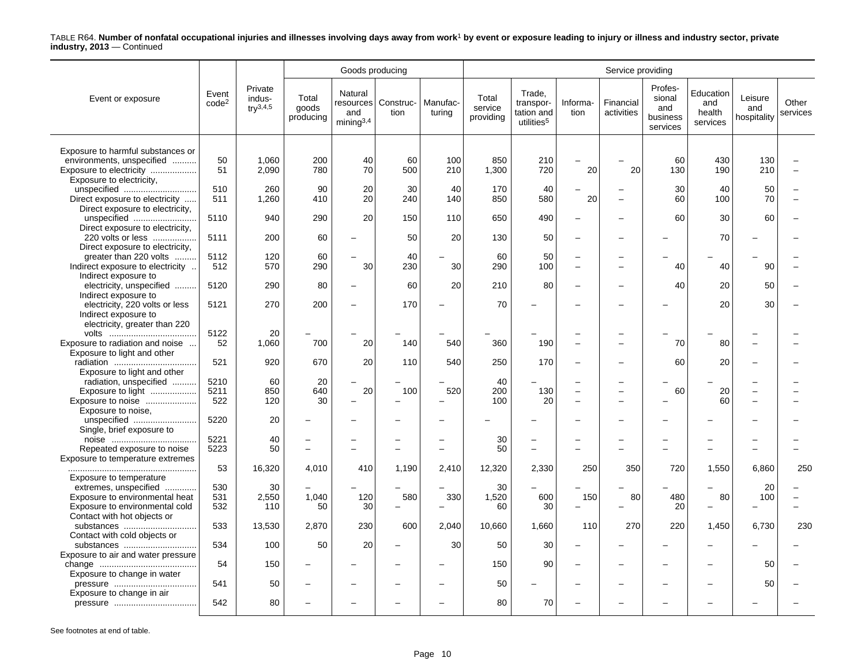|                                                                |                            |                                          |                             | Goods producing                         |                               |                          |                               |                                                             |                                            | Service providing        |                                                  |                                        |                               |                   |
|----------------------------------------------------------------|----------------------------|------------------------------------------|-----------------------------|-----------------------------------------|-------------------------------|--------------------------|-------------------------------|-------------------------------------------------------------|--------------------------------------------|--------------------------|--------------------------------------------------|----------------------------------------|-------------------------------|-------------------|
| Event or exposure                                              | Event<br>code <sup>2</sup> | Private<br>indus-<br>$\text{tr}^{3,4,5}$ | Total<br>goods<br>producing | Natural<br>and<br>mining <sup>3,4</sup> | resources   Construc-<br>tion | Manufac-<br>turing       | Total<br>service<br>providing | Trade,<br>transpor-<br>tation and<br>utilities <sup>5</sup> | Informa-<br>tion                           | Financial<br>activities  | Profes-<br>sional<br>and<br>business<br>services | Education<br>and<br>health<br>services | Leisure<br>and<br>hospitality | Other<br>services |
|                                                                |                            |                                          |                             |                                         |                               |                          |                               |                                                             |                                            |                          |                                                  |                                        |                               |                   |
| Exposure to harmful substances or<br>environments, unspecified | 50                         | 1,060                                    | 200                         | 40                                      | 60                            | 100                      | 850                           | 210                                                         | $\overline{\phantom{0}}$                   |                          | 60                                               | 430                                    | 130                           |                   |
| Exposure to electricity                                        | 51                         | 2,090                                    | 780                         | 70                                      | 500                           | 210                      | 1,300                         | 720                                                         | 20                                         | 20                       | 130                                              | 190                                    | 210                           |                   |
| Exposure to electricity,                                       |                            |                                          |                             |                                         |                               |                          |                               |                                                             |                                            |                          |                                                  |                                        |                               |                   |
| unspecified                                                    | 510                        | 260                                      | 90                          | 20                                      | 30                            | 40                       | 170                           | 40                                                          | $\overline{\phantom{0}}$                   |                          | 30                                               | 40                                     | 50                            |                   |
| Direct exposure to electricity                                 | 511                        | 1,260                                    | 410                         | 20                                      | 240                           | 140                      | 850                           | 580                                                         | 20                                         | $\overline{\phantom{0}}$ | 60                                               | 100                                    | 70                            |                   |
| Direct exposure to electricity,                                |                            |                                          |                             |                                         |                               |                          |                               |                                                             |                                            |                          |                                                  |                                        |                               |                   |
| unspecified                                                    | 5110                       | 940                                      | 290                         | 20                                      | 150                           | 110                      | 650                           | 490                                                         | $\qquad \qquad -$                          |                          | 60                                               | 30                                     | 60                            |                   |
| Direct exposure to electricity,                                |                            |                                          |                             |                                         |                               |                          |                               |                                                             |                                            |                          |                                                  |                                        |                               |                   |
| 220 volts or less                                              | 5111                       | 200                                      | 60                          |                                         | 50                            | 20                       | 130                           | 50                                                          | $\overline{\phantom{0}}$                   |                          |                                                  | 70                                     |                               |                   |
| Direct exposure to electricity,                                |                            |                                          |                             |                                         |                               |                          |                               |                                                             |                                            |                          |                                                  |                                        |                               |                   |
| greater than 220 volts                                         | 5112                       | 120                                      | 60                          |                                         | 40                            |                          | 60                            | 50                                                          | $\overline{\phantom{0}}$<br>$\overline{a}$ | $\overline{\phantom{a}}$ |                                                  |                                        |                               |                   |
| Indirect exposure to electricity<br>Indirect exposure to       | 512                        | 570                                      | 290                         | 30                                      | 230                           | 30                       | 290                           | 100                                                         |                                            |                          | 40                                               | 40                                     | 90                            |                   |
| electricity, unspecified                                       | 5120                       | 290                                      | 80                          | ۰                                       | 60                            | 20                       | 210                           | 80                                                          | $\overline{\phantom{0}}$                   |                          | 40                                               | 20                                     | 50                            |                   |
| Indirect exposure to                                           |                            |                                          |                             |                                         |                               |                          |                               |                                                             |                                            |                          |                                                  |                                        |                               |                   |
| electricity, 220 volts or less                                 | 5121                       | 270                                      | 200                         | $\overline{\phantom{0}}$                | 170                           |                          | 70                            |                                                             | $\overline{\phantom{0}}$                   |                          |                                                  | 20                                     | 30                            |                   |
| Indirect exposure to                                           |                            |                                          |                             |                                         |                               |                          |                               |                                                             |                                            |                          |                                                  |                                        |                               |                   |
| electricity, greater than 220                                  |                            |                                          |                             |                                         |                               |                          |                               |                                                             |                                            |                          |                                                  |                                        |                               |                   |
|                                                                | 5122                       | 20                                       |                             |                                         |                               |                          |                               |                                                             |                                            |                          |                                                  |                                        |                               |                   |
| Exposure to radiation and noise                                | 52                         | 1,060                                    | 700                         | 20                                      | 140                           | 540                      | 360                           | 190                                                         | $\overline{\phantom{0}}$                   |                          | 70                                               | 80                                     |                               |                   |
| Exposure to light and other                                    |                            |                                          |                             |                                         |                               |                          |                               |                                                             |                                            |                          |                                                  |                                        |                               |                   |
|                                                                | 521                        | 920                                      | 670                         | 20                                      | 110                           | 540                      | 250                           | 170                                                         | $\overline{\phantom{0}}$                   |                          | 60                                               | 20                                     |                               |                   |
| Exposure to light and other                                    |                            |                                          |                             |                                         |                               |                          |                               |                                                             |                                            |                          |                                                  |                                        |                               |                   |
| radiation, unspecified                                         | 5210                       | 60                                       | 20                          |                                         |                               |                          | 40                            |                                                             |                                            |                          |                                                  |                                        |                               |                   |
| Exposure to light                                              | 5211                       | 850                                      | 640                         | 20                                      | 100                           | 520                      | 200                           | 130                                                         | $\overline{\phantom{0}}$                   |                          | 60                                               | 20                                     |                               |                   |
| Exposure to noise                                              | 522                        | 120                                      | 30                          | $\overline{\phantom{0}}$                |                               |                          | 100                           | 20                                                          | $\overline{a}$                             |                          |                                                  | 60                                     |                               |                   |
| Exposure to noise,                                             |                            |                                          |                             |                                         |                               |                          |                               |                                                             |                                            |                          |                                                  |                                        |                               |                   |
| unspecified                                                    | 5220                       | 20                                       |                             |                                         |                               |                          |                               |                                                             | $\overline{\phantom{0}}$                   |                          |                                                  |                                        |                               |                   |
| Single, brief exposure to                                      |                            | 40                                       |                             |                                         |                               |                          |                               |                                                             |                                            |                          |                                                  |                                        |                               |                   |
|                                                                | 5221<br>5223               | 50                                       | $\overline{\phantom{a}}$    |                                         | $\overline{\phantom{0}}$      |                          | 30<br>50                      | $\overline{\phantom{0}}$                                    | $\overline{\phantom{0}}$                   |                          |                                                  |                                        | $\overline{\phantom{0}}$      |                   |
| Repeated exposure to noise<br>Exposure to temperature extremes |                            |                                          |                             |                                         |                               |                          |                               |                                                             |                                            |                          |                                                  |                                        |                               |                   |
|                                                                | 53                         | 16,320                                   | 4.010                       | 410                                     | 1.190                         | 2.410                    | 12,320                        | 2,330                                                       | 250                                        | 350                      | 720                                              | 1,550                                  | 6.860                         | 250               |
| Exposure to temperature                                        |                            |                                          |                             |                                         |                               |                          |                               |                                                             |                                            |                          |                                                  |                                        |                               |                   |
| extremes, unspecified                                          | 530                        | 30                                       |                             |                                         |                               |                          | 30                            |                                                             |                                            |                          |                                                  |                                        | 20                            |                   |
| Exposure to environmental heat                                 | 531                        | 2,550                                    | 1.040                       | 120                                     | 580                           | 330                      | 1,520                         | 600                                                         | 150                                        | 80                       | 480                                              | 80                                     | 100                           |                   |
| Exposure to environmental cold                                 | 532                        | 110                                      | 50                          | 30                                      |                               | $\overline{\phantom{0}}$ | 60                            | 30                                                          | $\overline{\phantom{0}}$                   |                          | 20                                               | $\overline{\phantom{0}}$               |                               |                   |
| Contact with hot objects or                                    |                            |                                          |                             |                                         |                               |                          |                               |                                                             |                                            |                          |                                                  |                                        |                               |                   |
| substances                                                     | 533                        | 13,530                                   | 2,870                       | 230                                     | 600                           | 2.040                    | 10.660                        | 1,660                                                       | 110                                        | 270                      | 220                                              | 1,450                                  | 6.730                         | 230               |
| Contact with cold objects or                                   |                            |                                          |                             |                                         |                               |                          |                               |                                                             |                                            |                          |                                                  |                                        |                               |                   |
| substances                                                     | 534                        | 100                                      | 50                          | 20                                      |                               | 30                       | 50                            | 30                                                          | $\overline{\phantom{0}}$                   |                          |                                                  |                                        |                               |                   |
| Exposure to air and water pressure                             |                            |                                          |                             |                                         |                               |                          |                               |                                                             |                                            |                          |                                                  |                                        |                               |                   |
|                                                                | 54                         | 150                                      |                             |                                         |                               |                          | 150                           | 90                                                          | $\overline{\phantom{0}}$                   |                          |                                                  |                                        | 50                            |                   |
| Exposure to change in water                                    |                            |                                          |                             |                                         |                               |                          |                               |                                                             |                                            |                          |                                                  |                                        |                               |                   |
|                                                                | 541                        | 50                                       |                             |                                         |                               |                          | 50                            |                                                             |                                            |                          |                                                  |                                        | 50                            |                   |
| Exposure to change in air                                      |                            |                                          |                             |                                         |                               |                          |                               |                                                             |                                            |                          |                                                  |                                        |                               |                   |
| pressure                                                       | 542                        | 80                                       |                             |                                         |                               |                          | 80                            | 70                                                          |                                            |                          |                                                  |                                        |                               |                   |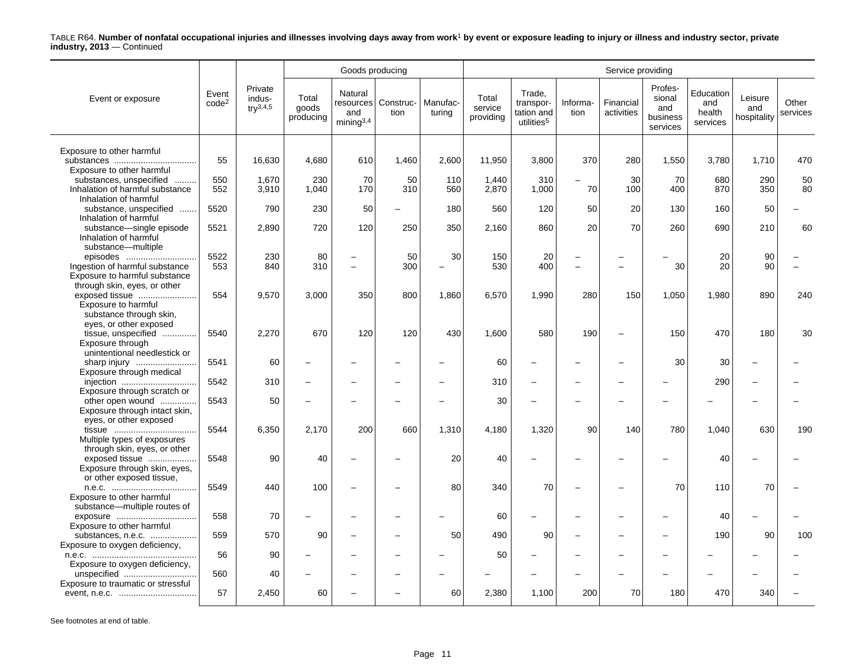|                                                                                                   |                            |                                          |                             | Goods producing                                      |                               |                    |                               |                                                             |                          | Service providing       |                                                  |                                        |                               |                   |
|---------------------------------------------------------------------------------------------------|----------------------------|------------------------------------------|-----------------------------|------------------------------------------------------|-------------------------------|--------------------|-------------------------------|-------------------------------------------------------------|--------------------------|-------------------------|--------------------------------------------------|----------------------------------------|-------------------------------|-------------------|
| Event or exposure                                                                                 | Event<br>code <sup>2</sup> | Private<br>indus-<br>$\text{tr}^{3,4,5}$ | Total<br>goods<br>producing | Natural<br>and<br>minima <sup>3,4</sup>              | resources   Construc-<br>tion | Manufac-<br>turing | Total<br>service<br>providing | Trade,<br>transpor-<br>tation and<br>utilities <sup>5</sup> | Informa-<br>tion         | Financial<br>activities | Profes-<br>sional<br>and<br>business<br>services | Education<br>and<br>health<br>services | Leisure<br>and<br>hospitality | Other<br>services |
|                                                                                                   |                            |                                          |                             |                                                      |                               |                    |                               |                                                             |                          |                         |                                                  |                                        |                               |                   |
| Exposure to other harmful<br>Exposure to other harmful                                            | 55                         | 16,630                                   | 4,680                       | 610                                                  | 1,460                         | 2,600              | 11,950                        | 3,800                                                       | 370                      | 280                     | 1,550                                            | 3,780                                  | 1,710                         | 470               |
| substances, unspecified<br>.<br>Inhalation of harmful substance                                   | 550<br>552                 | 1.670<br>3,910                           | 230<br>1,040                | 70<br>170                                            | 50<br>310                     | 110<br>560         | 1.440<br>2,870                | 310<br>1,000                                                | 70                       | 30<br>100               | 70<br>400                                        | 680<br>870                             | 290<br>350                    | 50<br>80          |
| Inhalation of harmful<br>substance, unspecified<br>Inhalation of harmful                          | 5520                       | 790                                      | 230                         | 50                                                   |                               | 180                | 560                           | 120                                                         | 50                       | 20                      | 130                                              | 160                                    | 50                            |                   |
| substance-single episode<br>Inhalation of harmful                                                 | 5521                       | 2,890                                    | 720                         | 120                                                  | 250                           | 350                | 2,160                         | 860                                                         | 20                       | 70                      | 260                                              | 690                                    | 210                           | 60                |
| substance-multiple<br>episodes<br>Ingestion of harmful substance<br>Exposure to harmful substance | 5522<br>553                | 230<br>840                               | 80<br>310                   | $\overline{\phantom{0}}$<br>$\overline{\phantom{0}}$ | 50<br>300                     | 30<br>L.           | 150<br>530                    | 20<br>400                                                   | $\overline{\phantom{0}}$ |                         | 30                                               | 20<br>20                               | 90<br>90                      |                   |
| through skin, eyes, or other<br>exposed tissue<br>Exposure to harmful                             | 554                        | 9,570                                    | 3,000                       | 350                                                  | 800                           | 1,860              | 6,570                         | 1,990                                                       | 280                      | 150                     | 1,050                                            | 1,980                                  | 890                           | 240               |
| substance through skin,<br>eyes, or other exposed<br>tissue, unspecified<br>Exposure through      | 5540                       | 2,270                                    | 670                         | 120                                                  | 120                           | 430                | 1,600                         | 580                                                         | 190                      |                         | 150                                              | 470                                    | 180                           | 30                |
| unintentional needlestick or<br>sharp injury                                                      | 5541                       | 60                                       |                             |                                                      |                               |                    | 60                            | $\overline{\phantom{0}}$                                    | $\overline{\phantom{0}}$ |                         | 30                                               | 30                                     |                               |                   |
| Exposure through medical                                                                          | 5542                       | 310                                      |                             | $\overline{\phantom{0}}$                             |                               |                    | 310                           | ÷                                                           | $\overline{\phantom{0}}$ |                         |                                                  | 290                                    |                               |                   |
| Exposure through scratch or<br>other open wound<br>Exposure through intact skin,                  | 5543                       | 50                                       |                             |                                                      |                               |                    | 30                            |                                                             | ۰                        |                         |                                                  |                                        |                               |                   |
| eyes, or other exposed<br>Multiple types of exposures                                             | 5544                       | 6,350                                    | 2,170                       | 200                                                  | 660                           | 1,310              | 4,180                         | 1,320                                                       | 90                       | 140                     | 780                                              | 1,040                                  | 630                           | 190               |
| through skin, eyes, or other<br>exposed tissue<br>Exposure through skin, eyes,                    | 5548                       | 90                                       | 40                          | $\overline{\phantom{0}}$                             |                               | 20                 | 40                            |                                                             |                          |                         |                                                  | 40                                     |                               |                   |
| or other exposed tissue,<br>Exposure to other harmful                                             | 5549                       | 440                                      | 100                         | $\overline{a}$                                       |                               | 80                 | 340                           | 70                                                          | $\overline{\phantom{a}}$ |                         | 70                                               | 110                                    | 70                            |                   |
| substance—multiple routes of<br>exposure<br>Exposure to other harmful                             | 558                        | 70                                       |                             |                                                      |                               |                    | 60                            |                                                             | $\overline{\phantom{0}}$ |                         |                                                  | 40                                     |                               |                   |
| substances, n.e.c.<br>Exposure to oxygen deficiency,                                              | 559                        | 570                                      | 90                          | $\overline{\phantom{0}}$                             |                               | 50                 | 490                           | 90                                                          | $\overline{\phantom{0}}$ |                         |                                                  | 190                                    | 90                            | 100               |
| Exposure to oxygen deficiency,                                                                    | 56                         | 90                                       |                             |                                                      |                               |                    | 50                            |                                                             |                          |                         |                                                  |                                        |                               |                   |
| unspecified<br>Exposure to traumatic or stressful                                                 | 560                        | 40                                       |                             |                                                      |                               |                    |                               |                                                             |                          |                         |                                                  |                                        |                               |                   |
|                                                                                                   | 57                         | 2,450                                    | 60                          |                                                      |                               | 60                 | 2,380                         | 1,100                                                       | 200                      | 70                      | 180                                              | 470                                    | 340                           |                   |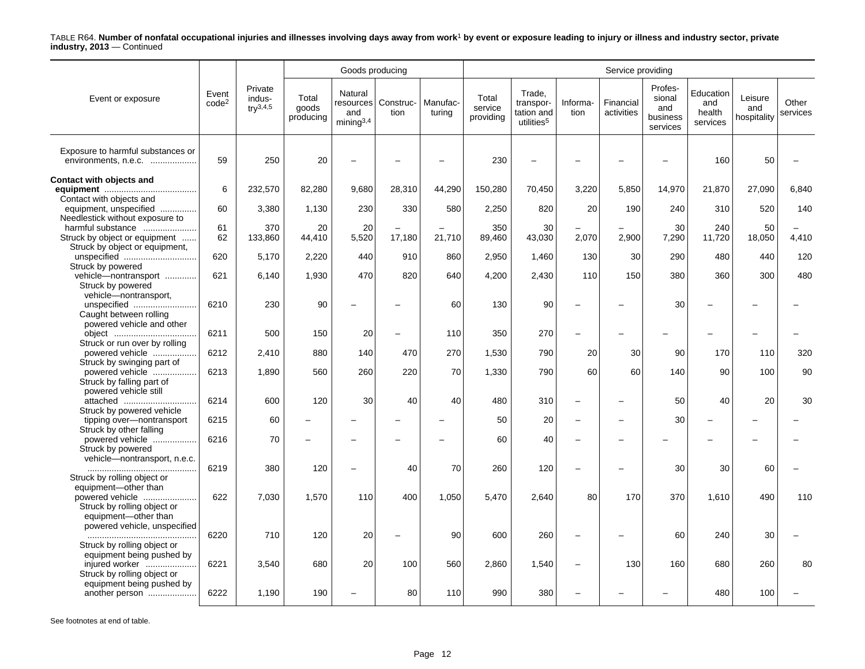|                                                                                                |                            |                                          |                             | Goods producing                         |                               |                    |                               |                                                             |                          | Service providing        |                                                  |                                        |                               |                   |
|------------------------------------------------------------------------------------------------|----------------------------|------------------------------------------|-----------------------------|-----------------------------------------|-------------------------------|--------------------|-------------------------------|-------------------------------------------------------------|--------------------------|--------------------------|--------------------------------------------------|----------------------------------------|-------------------------------|-------------------|
| Event or exposure                                                                              | Event<br>code <sup>2</sup> | Private<br>indus-<br>$\text{tr}^{3,4,5}$ | Total<br>goods<br>producing | Natural<br>and<br>minima <sup>3,4</sup> | resources   Construc-<br>tion | Manufac-<br>turing | Total<br>service<br>providing | Trade.<br>transpor-<br>tation and<br>utilities <sup>5</sup> | Informa-<br>tion         | Financial<br>activities  | Profes-<br>sional<br>and<br>business<br>services | Education<br>and<br>health<br>services | Leisure<br>and<br>hospitality | Other<br>services |
| Exposure to harmful substances or<br>environments, n.e.c.                                      | 59                         | 250                                      | 20                          |                                         |                               |                    | 230                           |                                                             |                          |                          |                                                  | 160                                    | 50                            |                   |
| Contact with objects and<br>Contact with objects and                                           | 6                          | 232,570                                  | 82,280                      | 9,680                                   | 28,310                        | 44,290             | 150,280                       | 70,450                                                      | 3,220                    | 5,850                    | 14,970                                           | 21,870                                 | 27,090                        | 6,840             |
| equipment, unspecified<br>Needlestick without exposure to                                      | 60                         | 3,380                                    | 1,130                       | 230                                     | 330                           | 580                | 2,250                         | 820                                                         | 20                       | 190                      | 240                                              | 310                                    | 520                           | 140               |
| harmful substance<br>Struck by object or equipment<br>Struck by object or equipment,           | 61<br>62                   | 370<br>133,860                           | 20<br>44,410                | 20<br>5,520                             | 17,180                        | 21,710             | 350<br>89,460                 | 30<br>43,030                                                | 2,070                    | 2,900                    | 30<br>7,290                                      | 240<br>11,720                          | 50<br>18,050                  | 4,410             |
| unspecified<br>Struck by powered                                                               | 620                        | 5.170                                    | 2,220                       | 440                                     | 910                           | 860                | 2.950                         | 1.460                                                       | 130                      | 30                       | 290                                              | 480                                    | 440                           | 120               |
| vehicle-nontransport<br>Struck by powered                                                      | 621                        | 6,140                                    | 1,930                       | 470                                     | 820                           | 640                | 4,200                         | 2,430                                                       | 110                      | 150                      | 380                                              | 360                                    | 300                           | 480               |
| vehicle-nontransport,<br>unspecified<br>Caught between rolling                                 | 6210                       | 230                                      | 90                          | $\overline{\phantom{0}}$                |                               | 60                 | 130                           | 90                                                          | $\overline{\phantom{0}}$ |                          | 30                                               | $\overline{\phantom{0}}$               |                               |                   |
| powered vehicle and other                                                                      | 6211                       | 500                                      | 150                         | 20                                      |                               | 110                | 350                           | 270                                                         | $\qquad \qquad -$        |                          |                                                  | $\overline{\phantom{a}}$               |                               |                   |
| Struck or run over by rolling<br>powered vehicle                                               | 6212                       | 2,410                                    | 880                         | 140                                     | 470                           | 270                | 1,530                         | 790                                                         | 20                       | 30                       | 90                                               | 170                                    | 110                           | 320               |
| Struck by swinging part of<br>powered vehicle<br>Struck by falling part of                     | 6213                       | 1,890                                    | 560                         | 260                                     | 220                           | 70                 | 1,330                         | 790                                                         | 60                       | 60                       | 140                                              | 90                                     | 100                           | 90                |
| powered vehicle still<br>attached<br>Struck by powered vehicle                                 | 6214                       | 600                                      | 120                         | 30                                      | 40                            | 40                 | 480                           | 310                                                         | $\qquad \qquad -$        |                          | 50                                               | 40                                     | 20                            | 30                |
| tipping over-nontransport<br>Struck by other falling                                           | 6215                       | 60                                       |                             |                                         |                               |                    | 50                            | 20                                                          | $\overline{\phantom{m}}$ | $\overline{\phantom{0}}$ | 30                                               |                                        |                               |                   |
| powered vehicle<br>Struck by powered<br>vehicle-nontransport, n.e.c.                           | 6216                       | 70                                       |                             |                                         |                               |                    | 60                            | 40                                                          | $\overline{\phantom{a}}$ |                          |                                                  |                                        |                               |                   |
| Struck by rolling object or                                                                    | 6219                       | 380                                      | 120                         |                                         | 40                            | 70                 | 260                           | 120                                                         | $\overline{\phantom{0}}$ |                          | 30                                               | 30                                     | 60                            |                   |
| equipment-other than<br>powered vehicle<br>Struck by rolling object or<br>equipment-other than | 622                        | 7,030                                    | 1,570                       | 110                                     | 400                           | 1,050              | 5,470                         | 2,640                                                       | 80                       | 170                      | 370                                              | 1,610                                  | 490                           | 110               |
| powered vehicle, unspecified<br>Struck by rolling object or                                    | 6220                       | 710                                      | 120                         | 20                                      |                               | 90                 | 600                           | 260                                                         | $\overline{\phantom{m}}$ |                          | 60                                               | 240                                    | 30                            |                   |
| equipment being pushed by<br>injured worker<br>Struck by rolling object or                     | 6221                       | 3,540                                    | 680                         | 20                                      | 100                           | 560                | 2,860                         | 1,540                                                       | $\overline{\phantom{m}}$ | 130                      | 160                                              | 680                                    | 260                           | 80                |
| equipment being pushed by<br>another person                                                    | 6222                       | 1,190                                    | 190                         |                                         | 80                            | 110                | 990                           | 380                                                         |                          |                          |                                                  | 480                                    | 100                           |                   |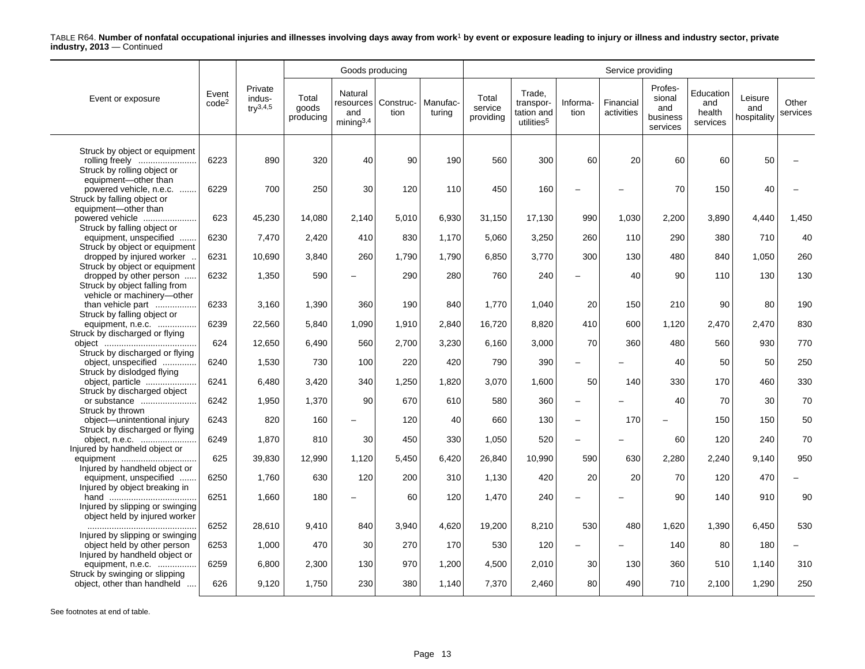|                                                                                |                            |                                           |                             | Goods producing                                  |                   |                    | Service providing             |                                                             |                          |                         |                                                  |                                        |                               |                   |  |
|--------------------------------------------------------------------------------|----------------------------|-------------------------------------------|-----------------------------|--------------------------------------------------|-------------------|--------------------|-------------------------------|-------------------------------------------------------------|--------------------------|-------------------------|--------------------------------------------------|----------------------------------------|-------------------------------|-------------------|--|
| Event or exposure                                                              | Event<br>code <sup>2</sup> | Private<br>indus-<br>$\text{trV}^{3,4,5}$ | Total<br>goods<br>producing | Natural<br>resources l<br>and<br>$min$ ing $3,4$ | Construc-<br>tion | Manufac-<br>turing | Total<br>service<br>providing | Trade,<br>transpor-<br>tation and<br>utilities <sup>5</sup> | Informa-<br>tion         | Financial<br>activities | Profes-<br>sional<br>and<br>business<br>services | Education<br>and<br>health<br>services | Leisure<br>and<br>hospitality | Other<br>services |  |
| Struck by object or equipment<br>rolling freely                                | 6223                       | 890                                       | 320                         | 40                                               | 90                | 190                | 560                           | 300                                                         | 60                       | 20                      | 60                                               | 60                                     | 50                            |                   |  |
| Struck by rolling object or<br>equipment-other than                            |                            |                                           |                             |                                                  |                   |                    |                               |                                                             |                          |                         |                                                  |                                        |                               |                   |  |
| powered vehicle, n.e.c.<br>Struck by falling object or<br>equipment-other than | 6229                       | 700                                       | 250                         | 30                                               | 120               | 110                | 450                           | 160                                                         |                          |                         | 70                                               | 150                                    | 40                            |                   |  |
| powered vehicle<br>Struck by falling object or                                 | 623                        | 45,230                                    | 14,080                      | 2,140                                            | 5,010             | 6,930              | 31,150                        | 17,130                                                      | 990                      | 1,030                   | 2,200                                            | 3,890                                  | 4,440                         | 1,450             |  |
| equipment, unspecified<br>Struck by object or equipment                        | 6230                       | 7,470                                     | 2,420                       | 410                                              | 830               | 1,170              | 5.060                         | 3,250                                                       | 260                      | 110                     | 290                                              | 380                                    | 710                           | 40                |  |
| dropped by injured worker<br>Struck by object or equipment                     | 6231                       | 10.690                                    | 3.840                       | 260                                              | 1,790             | 1.790              | 6.850                         | 3,770                                                       | 300                      | 130                     | 480                                              | 840                                    | 1.050                         | 260               |  |
| dropped by other person<br>Struck by object falling from                       | 6232                       | 1,350                                     | 590                         |                                                  | 290               | 280                | 760                           | 240                                                         | $\overline{\phantom{0}}$ | 40                      | 90                                               | 110                                    | 130                           | 130               |  |
| vehicle or machinery-other<br>than vehicle part<br>Struck by falling object or | 6233                       | 3,160                                     | 1,390                       | 360                                              | 190               | 840                | 1,770                         | 1,040                                                       | 20                       | 150                     | 210                                              | 90                                     | 80                            | 190               |  |
| equipment, n.e.c.<br>Struck by discharged or flying                            | 6239                       | 22,560                                    | 5,840                       | 1.090                                            | 1,910             | 2,840              | 16,720                        | 8,820                                                       | 410                      | 600                     | 1,120                                            | 2,470                                  | 2,470                         | 830               |  |
|                                                                                | 624                        | 12,650                                    | 6,490                       | 560                                              | 2,700             | 3,230              | 6,160                         | 3,000                                                       | 70                       | 360                     | 480                                              | 560                                    | 930                           | 770               |  |
| Struck by discharged or flying<br>object, unspecified                          | 6240                       | 1,530                                     | 730                         | 100                                              | 220               | 420                | 790                           | 390                                                         | $\overline{\phantom{0}}$ |                         | 40                                               | 50                                     | 50                            | 250               |  |
| Struck by dislodged flying<br>object, particle                                 | 6241                       | 6,480                                     | 3,420                       | 340                                              | 1,250             | 1,820              | 3,070                         | 1,600                                                       | 50                       | 140                     | 330                                              | 170                                    | 460                           | 330               |  |
| Struck by discharged object<br>or substance                                    | 6242                       | 1,950                                     | 1,370                       | 90                                               | 670               | 610                | 580                           | 360                                                         | $\overline{\phantom{m}}$ |                         | 40                                               | 70                                     | 30                            | 70                |  |
| Struck by thrown<br>object-unintentional injury                                | 6243                       | 820                                       | 160                         |                                                  | 120               | 40                 | 660                           | 130                                                         | $\overline{\phantom{0}}$ | 170                     |                                                  | 150                                    | 150                           | 50                |  |
| Struck by discharged or flying<br>object, n.e.c.                               | 6249                       | 1,870                                     | 810                         | 30                                               | 450               | 330                | 1,050                         | 520                                                         | $\overline{\phantom{0}}$ |                         | 60                                               | 120                                    | 240                           | 70                |  |
| Injured by handheld object or                                                  | 625                        | 39,830                                    | 12.990                      | 1,120                                            | 5,450             | 6,420              | 26,840                        | 10.990                                                      | 590                      | 630                     | 2,280                                            | 2,240                                  | 9,140                         | 950               |  |
| Injured by handheld object or<br>equipment, unspecified                        | 6250                       | 1,760                                     | 630                         | 120                                              | 200               | 310                | 1,130                         | 420                                                         | 20                       | 20                      | 70                                               | 120                                    | 470                           |                   |  |
| Injured by object breaking in<br>Injured by slipping or swinging               | 6251                       | 1,660                                     | 180                         |                                                  | 60                | 120                | 1,470                         | 240                                                         | $\overline{\phantom{0}}$ |                         | 90                                               | 140                                    | 910                           | 90                |  |
| object held by injured worker                                                  | 6252                       | 28,610                                    | 9,410                       | 840                                              | 3.940             | 4,620              | 19,200                        | 8,210                                                       | 530                      | 480                     | 1,620                                            | 1,390                                  | 6,450                         | 530               |  |
| Injured by slipping or swinging<br>object held by other person                 | 6253                       | 1,000                                     | 470                         | 30                                               | 270               | 170                | 530                           | 120                                                         |                          |                         | 140                                              | 80                                     | 180                           |                   |  |
| Injured by handheld object or<br>equipment, n.e.c.                             | 6259                       | 6,800                                     | 2,300                       | 130                                              | 970               | 1,200              | 4,500                         | 2,010                                                       | 30                       | 130                     | 360                                              | 510                                    | 1,140                         | 310               |  |
| Struck by swinging or slipping<br>object, other than handheld                  | 626                        | 9,120                                     | 1,750                       | 230                                              | 380               | 1,140              | 7,370                         | 2,460                                                       | 80                       | 490                     | 710                                              | 2,100                                  | 1,290                         | 250               |  |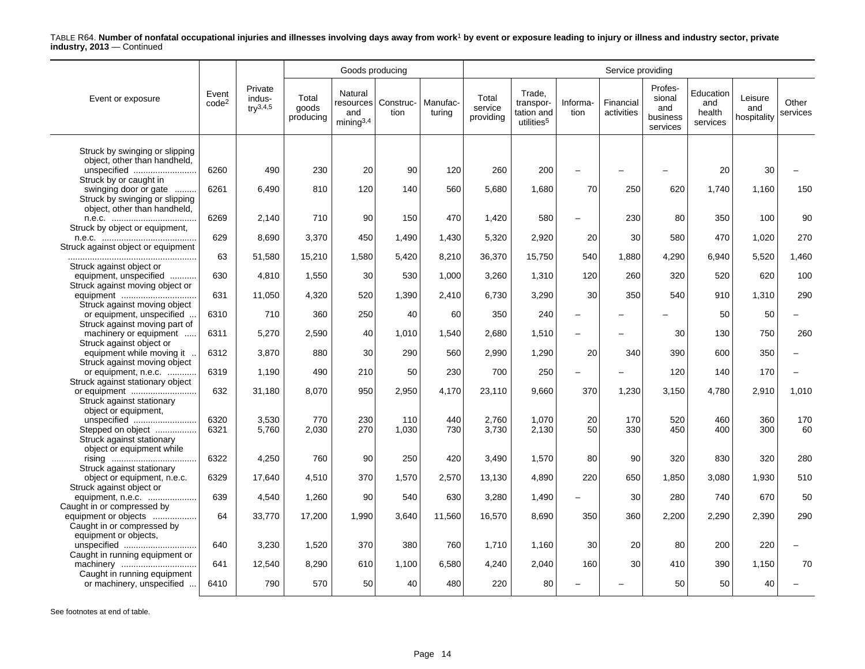|                                                                                                                   |                            |                                    |                             | Goods producing                         |                               |                    | Service providing             |                                                             |                          |                         |                                                  |                                        |                               |                   |  |
|-------------------------------------------------------------------------------------------------------------------|----------------------------|------------------------------------|-----------------------------|-----------------------------------------|-------------------------------|--------------------|-------------------------------|-------------------------------------------------------------|--------------------------|-------------------------|--------------------------------------------------|----------------------------------------|-------------------------------|-------------------|--|
| Event or exposure                                                                                                 | Event<br>code <sup>2</sup> | Private<br>indus-<br>$try^{3,4,5}$ | Total<br>goods<br>producing | Natural<br>and<br>minima <sup>3,4</sup> | resources   Construc-<br>tion | Manufac-<br>turina | Total<br>service<br>providing | Trade.<br>transpor-<br>tation and<br>utilities <sup>5</sup> | Informa-<br>tion         | Financial<br>activities | Profes-<br>sional<br>and<br>business<br>services | Education<br>and<br>health<br>services | Leisure<br>and<br>hospitality | Other<br>services |  |
| Struck by swinging or slipping                                                                                    |                            |                                    |                             |                                         |                               |                    |                               |                                                             |                          |                         |                                                  |                                        |                               |                   |  |
| object, other than handheld,<br>unspecified                                                                       | 6260                       | 490                                | 230                         | 20                                      | 90                            | 120                | 260                           | 200                                                         | $\overline{\phantom{0}}$ |                         |                                                  | 20                                     | 30                            |                   |  |
| Struck by or caught in<br>swinging door or gate<br>Struck by swinging or slipping<br>object, other than handheld, | 6261                       | 6,490                              | 810                         | 120                                     | 140                           | 560                | 5,680                         | 1,680                                                       | 70                       | 250                     | 620                                              | 1,740                                  | 1.160                         | 150               |  |
| Struck by object or equipment,                                                                                    | 6269                       | 2,140                              | 710                         | 90                                      | 150                           | 470                | 1,420                         | 580                                                         | $\overline{\phantom{0}}$ | 230                     | 80                                               | 350                                    | 100                           | 90                |  |
| Struck against object or equipment                                                                                | 629                        | 8,690                              | 3,370                       | 450                                     | 1,490                         | 1,430              | 5,320                         | 2,920                                                       | 20                       | 30                      | 580                                              | 470                                    | 1,020                         | 270               |  |
|                                                                                                                   | 63                         | 51,580                             | 15,210                      | 1,580                                   | 5.420                         | 8,210              | 36,370                        | 15,750                                                      | 540                      | 1,880                   | 4,290                                            | 6,940                                  | 5,520                         | 1,460             |  |
| Struck against object or<br>equipment, unspecified                                                                | 630                        | 4,810                              | 1,550                       | 30                                      | 530                           | 1,000              | 3,260                         | 1,310                                                       | 120                      | 260                     | 320                                              | 520                                    | 620                           | 100               |  |
| Struck against moving object or<br>equipment                                                                      | 631                        | 11,050                             | 4,320                       | 520                                     | 1,390                         | 2,410              | 6,730                         | 3,290                                                       | 30                       | 350                     | 540                                              | 910                                    | 1,310                         | 290               |  |
| Struck against moving object<br>or equipment, unspecified                                                         | 6310                       | 710                                | 360                         | 250                                     | 40                            | 60                 | 350                           | 240                                                         | $\overline{\phantom{0}}$ |                         |                                                  | 50                                     | 50                            |                   |  |
| Struck against moving part of<br>machinery or equipment                                                           | 6311                       | 5,270                              | 2,590                       | 40                                      | 1,010                         | 1,540              | 2,680                         | 1,510                                                       | $\overline{\phantom{0}}$ |                         | 30                                               | 130                                    | 750                           | 260               |  |
| Struck against object or<br>equipment while moving it.                                                            | 6312                       | 3,870                              | 880                         | 30                                      | 290                           | 560                | 2,990                         | 1,290                                                       | 20                       | 340                     | 390                                              | 600                                    | 350                           |                   |  |
| Struck against moving object<br>or equipment, n.e.c.                                                              | 6319                       | 1,190                              | 490                         | 210                                     | 50                            | 230                | 700                           | 250                                                         | $\overline{\phantom{0}}$ |                         | 120                                              | 140                                    | 170                           |                   |  |
| Struck against stationary object<br>or equipment                                                                  | 632                        | 31,180                             | 8,070                       | 950                                     | 2,950                         | 4,170              | 23,110                        | 9,660                                                       | 370                      | 1,230                   | 3,150                                            | 4,780                                  | 2,910                         | 1,010             |  |
| Struck against stationary<br>object or equipment.                                                                 |                            |                                    |                             |                                         |                               |                    |                               |                                                             |                          |                         |                                                  |                                        |                               |                   |  |
| unspecified<br>Stepped on object<br>Struck against stationary                                                     | 6320<br>6321               | 3,530<br>5,760                     | 770<br>2,030                | 230<br>270                              | 110<br>1,030                  | 440<br>730         | 2,760<br>3,730                | 1,070<br>2,130                                              | 20<br>50                 | 170<br>330              | 520<br>450                                       | 460<br>400                             | 360<br>300                    | 170<br>60         |  |
| object or equipment while                                                                                         | 6322                       | 4,250                              | 760                         | 90                                      | 250                           | 420                | 3,490                         | 1,570                                                       | 80                       | 90                      | 320                                              | 830                                    | 320                           | 280               |  |
| Struck against stationary<br>object or equipment, n.e.c.                                                          | 6329                       | 17,640                             | 4,510                       | 370                                     | 1,570                         | 2,570              | 13,130                        | 4,890                                                       | 220                      | 650                     | 1,850                                            | 3,080                                  | 1,930                         | 510               |  |
| Struck against object or<br>equipment, n.e.c.                                                                     | 639                        | 4,540                              | 1,260                       | 90                                      | 540                           | 630                | 3,280                         | 1,490                                                       | $\overline{\phantom{0}}$ | 30                      | 280                                              | 740                                    | 670                           | 50                |  |
| Caught in or compressed by<br>equipment or objects<br>Caught in or compressed by                                  | 64                         | 33,770                             | 17,200                      | 1,990                                   | 3,640                         | 11,560             | 16,570                        | 8,690                                                       | 350                      | 360                     | 2,200                                            | 2,290                                  | 2,390                         | 290               |  |
| equipment or objects,<br>unspecified                                                                              | 640                        | 3,230                              | 1,520                       | 370                                     | 380                           | 760                | 1,710                         | 1,160                                                       | 30                       | 20                      | 80                                               | 200                                    | 220                           |                   |  |
| Caught in running equipment or<br>machinery                                                                       | 641                        | 12,540                             | 8,290                       | 610                                     | 1,100                         | 6,580              | 4,240                         | 2,040                                                       | 160                      | 30                      | 410                                              | 390                                    | 1,150                         | 70                |  |
| Caught in running equipment<br>or machinery, unspecified                                                          | 6410                       | 790                                | 570                         | 50                                      | 40                            | 480                | 220                           | 80                                                          |                          |                         | 50                                               | 50                                     | 40                            |                   |  |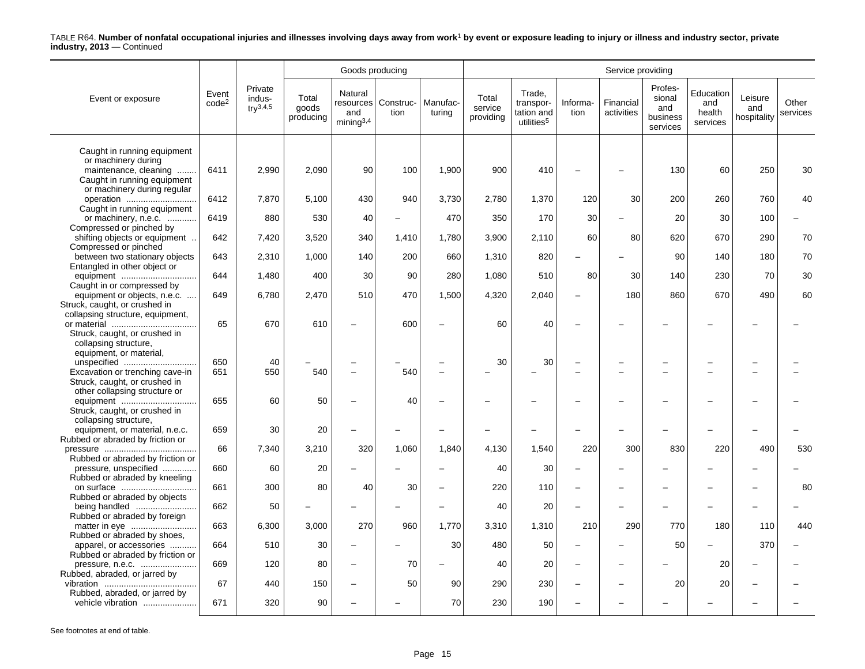|                                                                                                                                           |                            |                                    |                             | Goods producing                                |                   |                          | Service providing             |                                                             |                          |                         |                                                  |                                        |                               |                   |  |  |
|-------------------------------------------------------------------------------------------------------------------------------------------|----------------------------|------------------------------------|-----------------------------|------------------------------------------------|-------------------|--------------------------|-------------------------------|-------------------------------------------------------------|--------------------------|-------------------------|--------------------------------------------------|----------------------------------------|-------------------------------|-------------------|--|--|
| Event or exposure                                                                                                                         | Event<br>code <sup>2</sup> | Private<br>indus-<br>$try^{3,4,5}$ | Total<br>goods<br>producing | Natural<br>resources<br>and<br>$min$ ing $3,4$ | Construc-<br>tion | Manufac-<br>turina       | Total<br>service<br>providing | Trade,<br>transpor-<br>tation and<br>utilities <sup>5</sup> | Informa-<br>tion         | Financial<br>activities | Profes-<br>sional<br>and<br>business<br>services | Education<br>and<br>health<br>services | Leisure<br>and<br>hospitality | Other<br>services |  |  |
| Caught in running equipment<br>or machinery during<br>maintenance, cleaning<br>Caught in running equipment<br>or machinery during regular | 6411                       | 2,990                              | 2,090                       | 90                                             | 100               | 1,900                    | 900                           | 410                                                         |                          |                         | 130                                              | 60                                     | 250                           | 30                |  |  |
| operation<br>Caught in running equipment                                                                                                  | 6412                       | 7,870                              | 5,100                       | 430                                            | 940               | 3,730                    | 2,780                         | 1,370                                                       | 120                      | 30                      | 200                                              | 260                                    | 760                           | 40                |  |  |
| or machinery, n.e.c.<br>Compressed or pinched by                                                                                          | 6419                       | 880                                | 530                         | 40                                             |                   | 470                      | 350                           | 170                                                         | 30                       |                         | 20                                               | 30                                     | 100                           |                   |  |  |
| shifting objects or equipment<br>Compressed or pinched                                                                                    | 642                        | 7,420                              | 3,520                       | 340                                            | 1,410             | 1,780                    | 3,900                         | 2,110                                                       | 60                       | 80                      | 620                                              | 670                                    | 290                           | 70                |  |  |
| between two stationary objects<br>Entangled in other object or                                                                            | 643                        | 2,310                              | 1,000                       | 140                                            | 200               | 660                      | 1.310                         | 820                                                         | $\overline{\phantom{a}}$ |                         | 90                                               | 140                                    | 180                           | 70                |  |  |
| equipment                                                                                                                                 | 644                        | 1,480                              | 400                         | 30                                             | 90                | 280                      | 1,080                         | 510                                                         | 80                       | 30                      | 140                                              | 230                                    | 70                            | 30                |  |  |
| Caught in or compressed by<br>equipment or objects, n.e.c.<br>Struck, caught, or crushed in                                               | 649                        | 6,780                              | 2,470                       | 510                                            | 470               | 1,500                    | 4,320                         | 2,040                                                       | $\overline{\phantom{0}}$ | 180                     | 860                                              | 670                                    | 490                           | 60                |  |  |
| collapsing structure, equipment,<br>Struck, caught, or crushed in<br>collapsing structure,                                                | 65                         | 670                                | 610                         |                                                | 600               |                          | 60                            | 40                                                          |                          |                         |                                                  |                                        |                               |                   |  |  |
| equipment, or material,<br>unspecified<br>Excavation or trenching cave-in<br>Struck, caught, or crushed in                                | 650<br>651                 | 40<br>550                          | 540                         | $\equiv$                                       | 540               | $\overline{a}$           | 30                            | 30<br>$\overline{\phantom{0}}$                              | $\overline{\phantom{0}}$ |                         |                                                  |                                        |                               |                   |  |  |
| other collapsing structure or<br>equipment<br>Struck, caught, or crushed in                                                               | 655                        | 60                                 | 50                          |                                                | 40                | $\overline{\phantom{0}}$ |                               |                                                             |                          |                         |                                                  |                                        |                               |                   |  |  |
| collapsing structure,<br>equipment, or material, n.e.c.<br>Rubbed or abraded by friction or                                               | 659                        | 30                                 | 20                          |                                                |                   |                          |                               |                                                             |                          |                         |                                                  |                                        |                               |                   |  |  |
| Rubbed or abraded by friction or                                                                                                          | 66                         | 7,340                              | 3,210                       | 320                                            | 1,060             | 1,840                    | 4,130                         | 1,540                                                       | 220                      | 300                     | 830                                              | 220                                    | 490                           | 530               |  |  |
| pressure, unspecified<br>Rubbed or abraded by kneeling                                                                                    | 660                        | 60                                 | 20                          |                                                |                   | $\overline{\phantom{0}}$ | 40                            | 30                                                          | $\overline{\phantom{0}}$ |                         |                                                  |                                        |                               |                   |  |  |
| Rubbed or abraded by objects                                                                                                              | 661                        | 300                                | 80                          | 40                                             | 30                |                          | 220                           | 110                                                         | $\overline{\phantom{a}}$ |                         |                                                  |                                        |                               | 80                |  |  |
| being handled<br>Rubbed or abraded by foreign                                                                                             | 662                        | 50                                 |                             |                                                |                   | $\overline{\phantom{0}}$ | 40                            | 20                                                          | $\overline{\phantom{0}}$ |                         |                                                  |                                        |                               |                   |  |  |
| Rubbed or abraded by shoes,                                                                                                               | 663                        | 6,300                              | 3,000                       | 270                                            | 960               | 1,770                    | 3,310                         | 1,310                                                       | 210                      | 290                     | 770                                              | 180                                    | 110                           | 440               |  |  |
| apparel, or accessories<br>Rubbed or abraded by friction or                                                                               | 664                        | 510                                | 30                          |                                                |                   | 30                       | 480                           | 50                                                          | $\overline{\phantom{0}}$ |                         | 50                                               |                                        | 370                           |                   |  |  |
| pressure, n.e.c.<br>Rubbed, abraded, or jarred by                                                                                         | 669                        | 120                                | 80                          | $\overline{\phantom{0}}$                       | 70                |                          | 40                            | 20                                                          | $\overline{\phantom{m}}$ |                         |                                                  | 20                                     |                               |                   |  |  |
| Rubbed, abraded, or jarred by                                                                                                             | 67                         | 440                                | 150                         |                                                | 50                | 90                       | 290                           | 230                                                         | $\overline{\phantom{m}}$ |                         | 20                                               | 20                                     |                               |                   |  |  |
| vehicle vibration                                                                                                                         | 671                        | 320                                | 90                          |                                                |                   | 70                       | 230                           | 190                                                         |                          |                         |                                                  |                                        |                               |                   |  |  |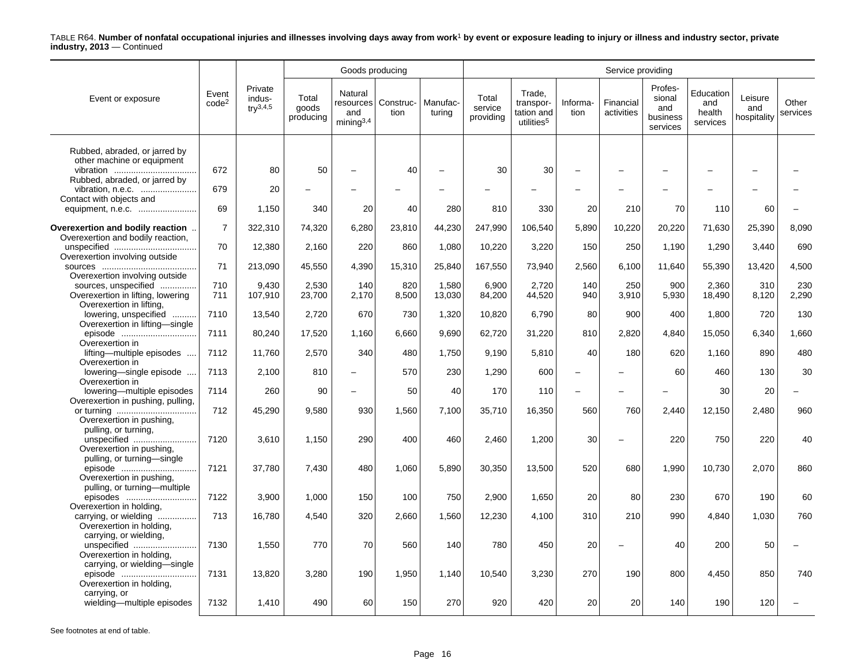|                                                                          |                            |                                           |                             | Goods producing                         |                               |                    | Service providing             |                                                             |                          |                         |                                                  |                                        |                               |                   |  |
|--------------------------------------------------------------------------|----------------------------|-------------------------------------------|-----------------------------|-----------------------------------------|-------------------------------|--------------------|-------------------------------|-------------------------------------------------------------|--------------------------|-------------------------|--------------------------------------------------|----------------------------------------|-------------------------------|-------------------|--|
| Event or exposure                                                        | Event<br>code <sup>2</sup> | Private<br>indus-<br>try <sup>3,4,5</sup> | Total<br>goods<br>producing | Natural<br>and<br>mining <sup>3,4</sup> | resources   Construc-<br>tion | Manufac-<br>turing | Total<br>service<br>providing | Trade,<br>transpor-<br>tation and<br>utilities <sup>5</sup> | Informa-<br>tion         | Financial<br>activities | Profes-<br>sional<br>and<br>business<br>services | Education<br>and<br>health<br>services | Leisure<br>and<br>hospitality | Other<br>services |  |
|                                                                          |                            |                                           |                             |                                         |                               |                    |                               |                                                             |                          |                         |                                                  |                                        |                               |                   |  |
| Rubbed, abraded, or jarred by<br>other machine or equipment<br>vibration | 672                        | 80                                        | 50                          |                                         | 40                            |                    | 30                            | 30                                                          |                          |                         |                                                  |                                        |                               |                   |  |
| Rubbed, abraded, or jarred by                                            | 679                        | 20                                        |                             |                                         |                               |                    |                               |                                                             |                          |                         |                                                  |                                        |                               |                   |  |
| Contact with objects and                                                 | 69                         | 1,150                                     | 340                         | 20                                      | 40                            | 280                | 810                           | 330                                                         | 20                       | 210                     | 70                                               | 110                                    | 60                            |                   |  |
|                                                                          |                            |                                           |                             |                                         |                               |                    |                               |                                                             |                          |                         |                                                  |                                        |                               |                   |  |
| Overexertion and bodily reaction<br>Overexertion and bodily reaction,    | $\overline{7}$             | 322,310                                   | 74,320                      | 6,280                                   | 23,810                        | 44,230             | 247,990                       | 106,540                                                     | 5,890                    | 10,220                  | 20,220                                           | 71,630                                 | 25,390                        | 8,090             |  |
| Overexertion involving outside                                           | 70                         | 12,380                                    | 2,160                       | 220                                     | 860                           | 1,080              | 10,220                        | 3,220                                                       | 150                      | 250                     | 1,190                                            | 1,290                                  | 3.440                         | 690               |  |
| Overexertion involving outside                                           | 71                         | 213,090                                   | 45,550                      | 4,390                                   | 15,310                        | 25,840             | 167,550                       | 73,940                                                      | 2,560                    | 6,100                   | 11,640                                           | 55,390                                 | 13,420                        | 4,500             |  |
| sources, unspecified                                                     | 710                        | 9,430                                     | 2,530                       | 140                                     | 820                           | 1,580              | 6,900                         | 2,720                                                       | 140                      | 250                     | 900                                              | 2,360                                  | 310                           | 230               |  |
| Overexertion in lifting, lowering<br>Overexertion in lifting,            | 711                        | 107,910                                   | 23,700                      | 2,170                                   | 8,500                         | 13,030             | 84,200                        | 44,520                                                      | 940                      | 3,910                   | 5,930                                            | 18,490                                 | 8,120                         | 2,290             |  |
| lowering, unspecified<br>.<br>Overexertion in lifting-single             | 7110                       | 13,540                                    | 2,720                       | 670                                     | 730                           | 1,320              | 10,820                        | 6,790                                                       | 80                       | 900                     | 400                                              | 1,800                                  | 720                           | 130               |  |
| episode                                                                  | 7111                       | 80,240                                    | 17,520                      | 1,160                                   | 6,660                         | 9,690              | 62,720                        | 31,220                                                      | 810                      | 2,820                   | 4,840                                            | 15,050                                 | 6,340                         | 1,660             |  |
| Overexertion in<br>lifting—multiple episodes                             | 7112                       | 11.760                                    | 2.570                       | 340                                     | 480                           | 1.750              | 9.190                         | 5,810                                                       | 40                       | 180                     | 620                                              | 1.160                                  | 890                           | 480               |  |
| Overexertion in<br>lowering-single episode<br>Overexertion in            | 7113                       | 2,100                                     | 810                         |                                         | 570                           | 230                | 1,290                         | 600                                                         |                          |                         | 60                                               | 460                                    | 130                           | 30                |  |
| lowering—multiple episodes<br>Overexertion in pushing, pulling,          | 7114                       | 260                                       | 90                          |                                         | 50                            | 40                 | 170                           | 110                                                         | $\overline{\phantom{0}}$ |                         |                                                  | 30                                     | 20                            |                   |  |
| Overexertion in pushing,                                                 | 712                        | 45,290                                    | 9,580                       | 930                                     | 1,560                         | 7,100              | 35,710                        | 16,350                                                      | 560                      | 760                     | 2.440                                            | 12,150                                 | 2.480                         | 960               |  |
| pulling, or turning,<br>unspecified<br>Overexertion in pushing,          | 7120                       | 3,610                                     | 1,150                       | 290                                     | 400                           | 460                | 2,460                         | 1,200                                                       | 30                       |                         | 220                                              | 750                                    | 220                           | 40                |  |
| pulling, or turning-single<br>episode<br>Overexertion in pushing.        | 7121                       | 37,780                                    | 7,430                       | 480                                     | 1,060                         | 5,890              | 30,350                        | 13,500                                                      | 520                      | 680                     | 1,990                                            | 10,730                                 | 2.070                         | 860               |  |
| pulling, or turning-multiple<br>episodes                                 | 7122                       | 3,900                                     | 1,000                       | 150                                     | 100                           | 750                | 2,900                         | 1,650                                                       | 20                       | 80                      | 230                                              | 670                                    | 190                           | 60                |  |
| Overexertion in holding,<br>carrying, or wielding                        | 713                        | 16,780                                    | 4,540                       | 320                                     | 2,660                         | 1,560              | 12,230                        | 4,100                                                       | 310                      | 210                     | 990                                              | 4,840                                  | 1,030                         | 760               |  |
| Overexertion in holding,<br>carrying, or wielding,<br>unspecified        | 7130                       | 1,550                                     | 770                         | 70                                      | 560                           | 140                | 780                           | 450                                                         | 20                       |                         | 40                                               | 200                                    | 50                            |                   |  |
| Overexertion in holding,<br>carrying, or wielding-single                 |                            |                                           |                             |                                         |                               |                    |                               |                                                             |                          |                         |                                                  |                                        |                               |                   |  |
| episode<br>Overexertion in holding,                                      | 7131                       | 13,820                                    | 3,280                       | 190                                     | 1,950                         | 1,140              | 10,540                        | 3,230                                                       | 270                      | 190                     | 800                                              | 4,450                                  | 850                           | 740               |  |
| carrying, or<br>wielding-multiple episodes                               | 7132                       | 1,410                                     | 490                         | 60                                      | 150                           | 270                | 920                           | 420                                                         | 20                       | 20                      | 140                                              | 190                                    | 120                           |                   |  |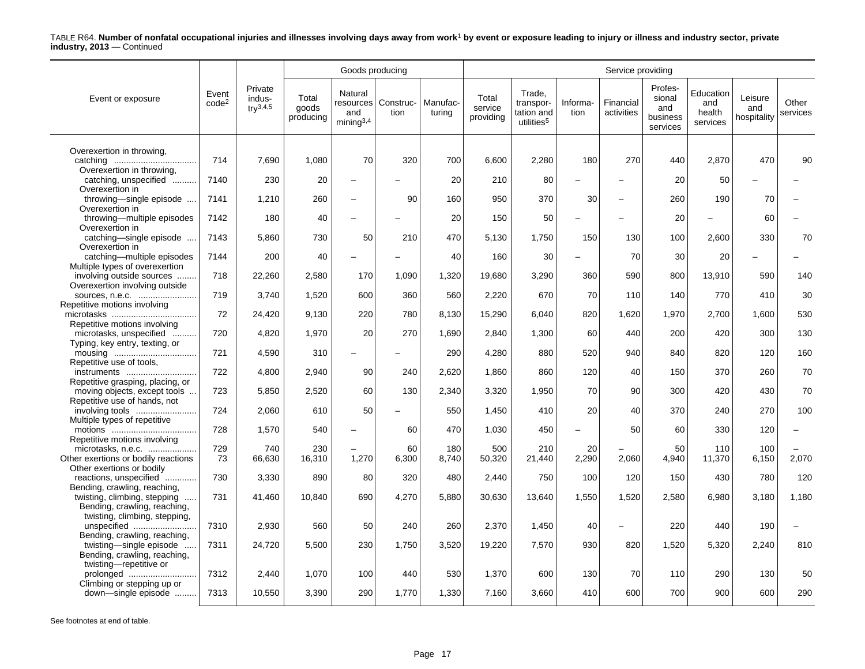|                                                               |                            |                                          |                             | Goods producing                                      |                   |                    | Service providing             |                                                             |                          |                         |                                                  |                                        |                               |                   |  |
|---------------------------------------------------------------|----------------------------|------------------------------------------|-----------------------------|------------------------------------------------------|-------------------|--------------------|-------------------------------|-------------------------------------------------------------|--------------------------|-------------------------|--------------------------------------------------|----------------------------------------|-------------------------------|-------------------|--|
| Event or exposure                                             | Event<br>code <sup>2</sup> | Private<br>indus-<br>$\text{tr}^{3,4,5}$ | Total<br>goods<br>producing | Natural<br>resources<br>and<br>mining <sup>3,4</sup> | Construc-<br>tion | Manufac-<br>turina | Total<br>service<br>providing | Trade,<br>transpor-<br>tation and<br>utilities <sup>5</sup> | Informa-<br>tion         | Financial<br>activities | Profes-<br>sional<br>and<br>business<br>services | Education<br>and<br>health<br>services | Leisure<br>and<br>hospitality | Other<br>services |  |
| Overexertion in throwing,                                     |                            |                                          |                             |                                                      |                   |                    |                               |                                                             |                          |                         |                                                  |                                        |                               |                   |  |
|                                                               | 714                        | 7,690                                    | 1,080                       | 70                                                   | 320               | 700                | 6,600                         | 2,280                                                       | 180                      | 270                     | 440                                              | 2,870                                  | 470                           | 90                |  |
| Overexertion in throwing,<br>catching, unspecified            | 7140                       | 230                                      | 20                          | $\overline{\phantom{0}}$                             |                   | 20                 | 210                           | 80                                                          | $\overline{\phantom{0}}$ |                         | 20                                               | 50                                     |                               |                   |  |
| Overexertion in                                               |                            |                                          |                             |                                                      |                   |                    |                               |                                                             |                          |                         |                                                  |                                        |                               |                   |  |
| throwing-single episode<br>Overexertion in                    | 7141                       | 1,210                                    | 260                         | $\overline{\phantom{0}}$                             | 90                | 160                | 950                           | 370                                                         | 30                       |                         | 260                                              | 190                                    | 70                            |                   |  |
| throwing-multiple episodes<br>Overexertion in                 | 7142                       | 180                                      | 40                          | $\overline{a}$                                       |                   | 20                 | 150                           | 50                                                          |                          |                         | 20                                               |                                        | 60                            |                   |  |
| catching-single episode<br>Overexertion in                    | 7143                       | 5,860                                    | 730                         | 50                                                   | 210               | 470                | 5,130                         | 1,750                                                       | 150                      | 130                     | 100                                              | 2.600                                  | 330                           | 70                |  |
| catching-multiple episodes                                    | 7144                       | 200                                      | 40                          | $\overline{\phantom{0}}$                             |                   | 40                 | 160                           | 30                                                          |                          | 70                      | 30                                               | 20                                     |                               |                   |  |
| Multiple types of overexertion<br>involving outside sources   | 718                        | 22,260                                   | 2,580                       | 170                                                  | 1,090             | 1,320              | 19,680                        | 3,290                                                       | 360                      | 590                     | 800                                              | 13,910                                 | 590                           | 140               |  |
| Overexertion involving outside<br>sources, n.e.c.             | 719                        | 3,740                                    | 1,520                       | 600                                                  | 360               | 560                | 2,220                         | 670                                                         | 70                       | 110                     | 140                                              | 770                                    | 410                           | 30                |  |
| Repetitive motions involving                                  |                            |                                          |                             |                                                      |                   |                    |                               |                                                             |                          |                         |                                                  |                                        |                               |                   |  |
| Repetitive motions involving                                  | 72                         | 24,420                                   | 9.130                       | 220                                                  | 780               | 8,130              | 15,290                        | 6.040                                                       | 820                      | 1.620                   | 1.970                                            | 2,700                                  | 1.600                         | 530               |  |
| microtasks, unspecified                                       | 720                        | 4,820                                    | 1,970                       | 20                                                   | 270               | 1,690              | 2,840                         | 1,300                                                       | 60                       | 440                     | 200                                              | 420                                    | 300                           | 130               |  |
| Typing, key entry, texting, or                                | 721                        | 4,590                                    | 310                         | $\overline{\phantom{0}}$                             |                   | 290                | 4,280                         | 880                                                         | 520                      | 940                     | 840                                              | 820                                    | 120                           | 160               |  |
| Repetitive use of tools,                                      | 722                        | 4,800                                    | 2,940                       | 90                                                   | 240               | 2,620              | 1,860                         | 860                                                         | 120                      | 40                      | 150                                              | 370                                    | 260                           | 70                |  |
| instruments<br>Repetitive grasping, placing, or               |                            |                                          |                             |                                                      |                   |                    |                               |                                                             |                          |                         |                                                  |                                        |                               |                   |  |
| moving objects, except tools<br>Repetitive use of hands, not  | 723                        | 5,850                                    | 2,520                       | 60                                                   | 130               | 2,340              | 3,320                         | 1,950                                                       | 70                       | 90                      | 300                                              | 420                                    | 430                           | 70                |  |
| involving tools                                               | 724                        | 2,060                                    | 610                         | 50                                                   |                   | 550                | 1,450                         | 410                                                         | 20                       | 40                      | 370                                              | 240                                    | 270                           | 100               |  |
| Multiple types of repetitive                                  | 728                        | 1,570                                    | 540                         | -                                                    | 60                | 470                | 1,030                         | 450                                                         | $\overline{\phantom{0}}$ | 50                      | 60                                               | 330                                    | 120                           |                   |  |
| Repetitive motions involving                                  |                            |                                          |                             |                                                      |                   |                    |                               |                                                             |                          |                         |                                                  |                                        |                               |                   |  |
| microtasks, n.e.c.<br>Other exertions or bodily reactions     | 729<br>73                  | 740<br>66,630                            | 230<br>16,310               | 1,270                                                | 60<br>6,300       | 180<br>8,740       | 500<br>50,320                 | 210<br>21,440                                               | 20<br>2,290              | 2,060                   | 50<br>4,940                                      | 110<br>11,370                          | 100<br>6,150                  | 2,070             |  |
| Other exertions or bodily                                     |                            |                                          |                             |                                                      |                   |                    |                               |                                                             |                          |                         |                                                  |                                        |                               |                   |  |
| reactions, unspecified<br>Bending, crawling, reaching,        | 730                        | 3,330                                    | 890                         | 80                                                   | 320               | 480                | 2,440                         | 750                                                         | 100                      | 120                     | 150                                              | 430                                    | 780                           | 120               |  |
| twisting, climbing, stepping                                  | 731                        | 41,460                                   | 10,840                      | 690                                                  | 4,270             | 5,880              | 30,630                        | 13,640                                                      | 1,550                    | 1,520                   | 2,580                                            | 6,980                                  | 3,180                         | 1,180             |  |
| Bending, crawling, reaching,<br>twisting, climbing, stepping, |                            |                                          |                             |                                                      |                   |                    |                               |                                                             |                          |                         |                                                  |                                        |                               |                   |  |
| unspecified                                                   | 7310                       | 2,930                                    | 560                         | 50                                                   | 240               | 260                | 2,370                         | 1,450                                                       | 40                       |                         | 220                                              | 440                                    | 190                           |                   |  |
| Bending, crawling, reaching,<br>twisting-single episode       | 7311                       | 24,720                                   | 5.500                       | 230                                                  | 1.750             | 3,520              | 19,220                        | 7.570                                                       | 930                      | 820                     | 1,520                                            | 5,320                                  | 2.240                         | 810               |  |
| Bending, crawling, reaching,<br>twisting-repetitive or        |                            |                                          |                             |                                                      |                   |                    |                               |                                                             |                          |                         |                                                  |                                        |                               |                   |  |
| prolonged                                                     | 7312                       | 2,440                                    | 1,070                       | 100                                                  | 440               | 530                | 1.370                         | 600                                                         | 130                      | 70                      | 110                                              | 290                                    | 130                           | 50                |  |
| Climbing or stepping up or<br>down-single episode             | 7313                       | 10,550                                   | 3,390                       | 290                                                  | 1,770             | 1,330              | 7,160                         | 3,660                                                       | 410                      | 600                     | 700                                              | 900                                    | 600                           | 290               |  |
|                                                               |                            |                                          |                             |                                                      |                   |                    |                               |                                                             |                          |                         |                                                  |                                        |                               |                   |  |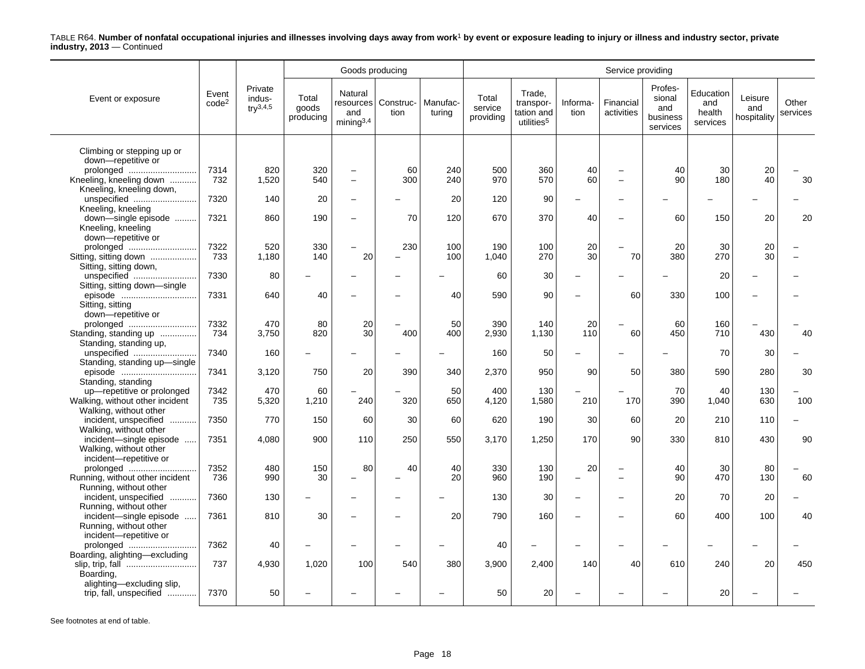|                                         |                            |                                          |                             | Goods producing                                |                   |                    | Service providing             |                                                             |                          |                         |                                                  |                                        |                               |                   |  |
|-----------------------------------------|----------------------------|------------------------------------------|-----------------------------|------------------------------------------------|-------------------|--------------------|-------------------------------|-------------------------------------------------------------|--------------------------|-------------------------|--------------------------------------------------|----------------------------------------|-------------------------------|-------------------|--|
| Event or exposure                       | Event<br>code <sup>2</sup> | Private<br>indus-<br>$\text{tr}^{3,4,5}$ | Total<br>goods<br>producing | Natural<br>resources<br>and<br>$min$ ing $3,4$ | Construc-<br>tion | Manufac-<br>turina | Total<br>service<br>providing | Trade,<br>transpor-<br>tation and<br>utilities <sup>5</sup> | Informa-<br>tion         | Financial<br>activities | Profes-<br>sional<br>and<br>business<br>services | Education<br>and<br>health<br>services | Leisure<br>and<br>hospitality | Other<br>services |  |
| Climbing or stepping up or              |                            |                                          |                             |                                                |                   |                    |                               |                                                             |                          |                         |                                                  |                                        |                               |                   |  |
| down-repetitive or                      |                            |                                          |                             |                                                |                   |                    |                               |                                                             |                          |                         |                                                  |                                        |                               |                   |  |
| prolonged                               | 7314                       | 820                                      | 320                         | ÷                                              | 60                | 240                | 500                           | 360                                                         | 40                       |                         | 40                                               | 30                                     | 20                            |                   |  |
| Kneeling, kneeling down                 | 732                        | 1,520                                    | 540                         | $\overline{\phantom{0}}$                       | 300               | 240                | 970                           | 570                                                         | 60                       |                         | 90                                               | 180                                    | 40                            | 30                |  |
| Kneeling, kneeling down,                |                            |                                          |                             |                                                |                   |                    |                               |                                                             |                          |                         |                                                  |                                        |                               |                   |  |
| unspecified                             | 7320                       | 140                                      | 20                          | ÷                                              |                   | 20                 | 120                           | 90                                                          |                          |                         |                                                  |                                        |                               |                   |  |
| Kneeling, kneeling                      |                            |                                          |                             |                                                |                   |                    |                               |                                                             |                          |                         |                                                  |                                        |                               |                   |  |
| down-single episode                     | 7321                       | 860                                      | 190                         | $\overline{a}$                                 | 70                | 120                | 670                           | 370                                                         | 40                       |                         | 60                                               | 150                                    | 20                            | 20                |  |
| Kneeling, kneeling                      |                            |                                          |                             |                                                |                   |                    |                               |                                                             |                          |                         |                                                  |                                        |                               |                   |  |
| down-repetitive or<br>prolonged         | 7322                       | 520                                      | 330                         | $\overline{\phantom{0}}$                       | 230               | 100                | 190                           | 100                                                         | 20                       |                         | 20                                               | 30                                     | 20                            |                   |  |
| Sitting, sitting down                   | 733                        | 1,180                                    | 140                         | 20                                             |                   | 100                | 1,040                         | 270                                                         | 30                       | 70                      | 380                                              | 270                                    | 30                            |                   |  |
| Sitting, sitting down,                  |                            |                                          |                             |                                                |                   |                    |                               |                                                             |                          |                         |                                                  |                                        |                               |                   |  |
| unspecified                             | 7330                       | 80                                       |                             |                                                |                   |                    | 60                            | 30                                                          |                          |                         |                                                  | 20                                     |                               |                   |  |
| Sitting, sitting down-single            |                            |                                          |                             |                                                |                   |                    |                               |                                                             |                          |                         |                                                  |                                        |                               |                   |  |
| episode                                 | 7331                       | 640                                      | 40                          | ÷                                              |                   | 40                 | 590                           | 90                                                          | $\overline{\phantom{0}}$ | 60                      | 330                                              | 100                                    |                               |                   |  |
| Sitting, sitting                        |                            |                                          |                             |                                                |                   |                    |                               |                                                             |                          |                         |                                                  |                                        |                               |                   |  |
| down-repetitive or                      |                            |                                          |                             |                                                |                   |                    |                               |                                                             |                          |                         |                                                  |                                        |                               |                   |  |
| prolonged                               | 7332                       | 470                                      | 80                          | 20                                             |                   | 50                 | 390                           | 140                                                         | 20                       |                         | 60                                               | 160                                    |                               |                   |  |
| Standing, standing up                   | 734                        | 3,750                                    | 820                         | 30                                             | 400               | 400                | 2,930                         | 1,130                                                       | 110                      | 60                      | 450                                              | 710                                    | 430                           | 40                |  |
| Standing, standing up,                  |                            |                                          |                             |                                                |                   |                    |                               |                                                             |                          |                         |                                                  |                                        |                               |                   |  |
| unspecified                             | 7340                       | 160                                      |                             |                                                |                   |                    | 160                           | 50                                                          |                          |                         |                                                  | 70                                     | 30                            |                   |  |
| Standing, standing up-single<br>episode | 7341                       | 3,120                                    | 750                         | 20                                             | 390               | 340                | 2,370                         | 950                                                         | 90                       | 50                      | 380                                              | 590                                    | 280                           | 30                |  |
| Standing, standing                      |                            |                                          |                             |                                                |                   |                    |                               |                                                             |                          |                         |                                                  |                                        |                               |                   |  |
| up-repetitive or prolonged              | 7342                       | 470                                      | 60                          |                                                |                   | 50                 | 400                           | 130                                                         |                          |                         | 70                                               | 40                                     | 130                           |                   |  |
| Walking, without other incident         | 735                        | 5,320                                    | 1,210                       | 240                                            | 320               | 650                | 4,120                         | 1,580                                                       | 210                      | 170                     | 390                                              | 1,040                                  | 630                           | 100               |  |
| Walking, without other                  |                            |                                          |                             |                                                |                   |                    |                               |                                                             |                          |                         |                                                  |                                        |                               |                   |  |
| incident, unspecified<br>.              | 7350                       | 770                                      | 150                         | 60                                             | 30                | 60                 | 620                           | 190                                                         | 30                       | 60                      | 20                                               | 210                                    | 110                           |                   |  |
| Walking, without other                  |                            |                                          |                             |                                                |                   |                    |                               |                                                             |                          |                         |                                                  |                                        |                               |                   |  |
| incident-single episode                 | 7351                       | 4,080                                    | 900                         | 110                                            | 250               | 550                | 3,170                         | 1,250                                                       | 170                      | 90                      | 330                                              | 810                                    | 430                           | 90                |  |
| Walking, without other                  |                            |                                          |                             |                                                |                   |                    |                               |                                                             |                          |                         |                                                  |                                        |                               |                   |  |
| incident-repetitive or<br>prolonged     | 7352                       | 480                                      | 150                         | 80                                             | 40                | 40                 | 330                           | 130                                                         | 20                       |                         | 40                                               | 30                                     | 80                            |                   |  |
| Running, without other incident         | 736                        | 990                                      | 30                          | -                                              |                   | 20                 | 960                           | 190                                                         | $\overline{\phantom{0}}$ |                         | 90                                               | 470                                    | 130                           | 60                |  |
| Running, without other                  |                            |                                          |                             |                                                |                   |                    |                               |                                                             |                          |                         |                                                  |                                        |                               |                   |  |
| incident, unspecified                   | 7360                       | 130                                      |                             | ÷                                              |                   |                    | 130                           | 30                                                          | $\overline{\phantom{a}}$ |                         | 20                                               | 70                                     | 20                            |                   |  |
| Running, without other                  |                            |                                          |                             |                                                |                   |                    |                               |                                                             |                          |                         |                                                  |                                        |                               |                   |  |
| incident-single episode                 | 7361                       | 810                                      | 30                          | ÷                                              |                   | 20                 | 790                           | 160                                                         | $\overline{\phantom{0}}$ |                         | 60                                               | 400                                    | 100                           | 40                |  |
| Running, without other                  |                            |                                          |                             |                                                |                   |                    |                               |                                                             |                          |                         |                                                  |                                        |                               |                   |  |
| incident-repetitive or                  |                            |                                          |                             |                                                |                   |                    |                               |                                                             |                          |                         |                                                  |                                        |                               |                   |  |
| prolonged                               | 7362                       | 40                                       |                             | ÷                                              |                   |                    | 40                            |                                                             |                          |                         |                                                  |                                        |                               |                   |  |
| Boarding, alighting-excluding           | 737                        | 4,930                                    | 1,020                       | 100                                            | 540               | 380                | 3,900                         |                                                             | 140                      | 40                      | 610                                              | 240                                    | 20                            | 450               |  |
| Boarding,                               |                            |                                          |                             |                                                |                   |                    |                               | 2,400                                                       |                          |                         |                                                  |                                        |                               |                   |  |
| alighting-excluding slip,               |                            |                                          |                             |                                                |                   |                    |                               |                                                             |                          |                         |                                                  |                                        |                               |                   |  |
| trip, fall, unspecified                 | 7370                       | 50                                       |                             |                                                |                   |                    | 50                            | 20                                                          |                          |                         |                                                  | 20                                     |                               |                   |  |
|                                         |                            |                                          |                             |                                                |                   |                    |                               |                                                             |                          |                         |                                                  |                                        |                               |                   |  |